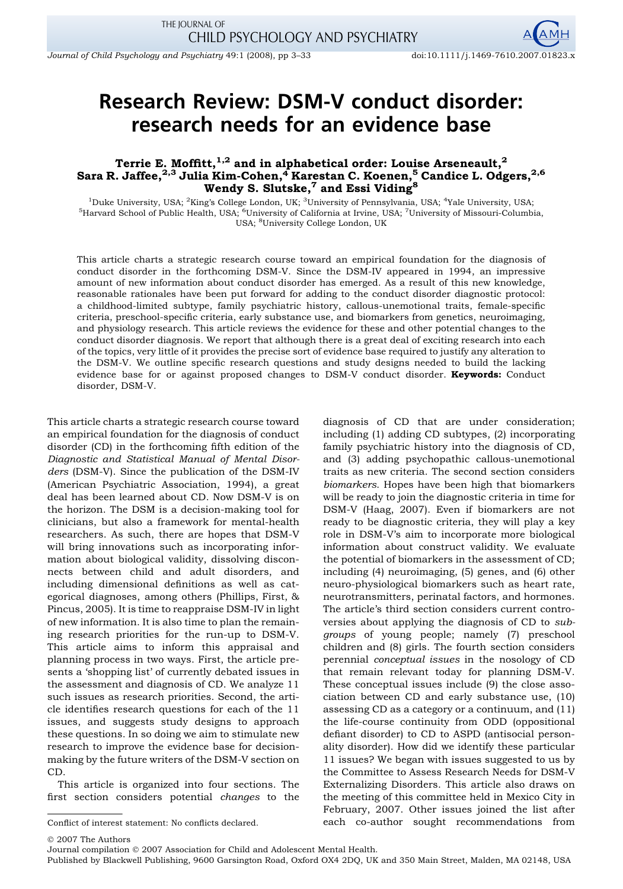Journal of Child Psychology and Psychiatry 49:1 (2008), pp 3–33 doi:10.1111/j.1469-7610.2007.01823.x

# Research Review: DSM-V conduct disorder: research needs for an evidence base

## Terrie E. Moffitt, $^{1,2}$  and in alphabetical order: Louise Arseneault, $^2$ Sara R. Jaffee,<sup>2,3</sup> Julia Kim-Cohen,<sup>4</sup> Karestan C. Koenen,<sup>5</sup> Candice L. Odgers,<sup>2,6</sup> Wendy S. Slutske,<sup>7</sup> and Essi Viding

<sup>1</sup>Duke University, USA; <sup>2</sup>King's College London, UK; <sup>3</sup>University of Pennsylvania, USA; <sup>4</sup>Yale University, USA; <sup>5</sup>Harvard School of Public Health, USA<sup>, 6</sup>University of California at Irvine, USA<sup>, 7</sup>University of Mis Harvard School of Public Health, USA; <sup>6</sup>University of California at Irvine, USA; <sup>7</sup>University of Missouri-Columbia, USA; <sup>8</sup>University College London, UK

This article charts a strategic research course toward an empirical foundation for the diagnosis of conduct disorder in the forthcoming DSM-V. Since the DSM-IV appeared in 1994, an impressive amount of new information about conduct disorder has emerged. As a result of this new knowledge, reasonable rationales have been put forward for adding to the conduct disorder diagnostic protocol: a childhood-limited subtype, family psychiatric history, callous-unemotional traits, female-specific criteria, preschool-specific criteria, early substance use, and biomarkers from genetics, neuroimaging, and physiology research. This article reviews the evidence for these and other potential changes to the conduct disorder diagnosis. We report that although there is a great deal of exciting research into each of the topics, very little of it provides the precise sort of evidence base required to justify any alteration to the DSM-V. We outline specific research questions and study designs needed to build the lacking evidence base for or against proposed changes to DSM-V conduct disorder. **Keywords:** Conduct disorder, DSM-V.

This article charts a strategic research course toward an empirical foundation for the diagnosis of conduct disorder (CD) in the forthcoming fifth edition of the Diagnostic and Statistical Manual of Mental Disorders (DSM-V). Since the publication of the DSM-IV (American Psychiatric Association, 1994), a great deal has been learned about CD. Now DSM-V is on the horizon. The DSM is a decision-making tool for clinicians, but also a framework for mental-health researchers. As such, there are hopes that DSM-V will bring innovations such as incorporating information about biological validity, dissolving disconnects between child and adult disorders, and including dimensional definitions as well as categorical diagnoses, among others (Phillips, First, & Pincus, 2005). It is time to reappraise DSM-IV in light of new information. It is also time to plan the remaining research priorities for the run-up to DSM-V. This article aims to inform this appraisal and planning process in two ways. First, the article presents a 'shopping list' of currently debated issues in the assessment and diagnosis of CD. We analyze 11 such issues as research priorities. Second, the article identifies research questions for each of the 11 issues, and suggests study designs to approach these questions. In so doing we aim to stimulate new research to improve the evidence base for decisionmaking by the future writers of the DSM-V section on CD.

This article is organized into four sections. The first section considers potential changes to the

diagnosis of CD that are under consideration; including (1) adding CD subtypes, (2) incorporating family psychiatric history into the diagnosis of CD, and (3) adding psychopathic callous-unemotional traits as new criteria. The second section considers biomarkers. Hopes have been high that biomarkers will be ready to join the diagnostic criteria in time for DSM-V (Haag, 2007). Even if biomarkers are not ready to be diagnostic criteria, they will play a key role in DSM-V's aim to incorporate more biological information about construct validity. We evaluate the potential of biomarkers in the assessment of CD; including (4) neuroimaging, (5) genes, and (6) other neuro-physiological biomarkers such as heart rate, neurotransmitters, perinatal factors, and hormones. The article's third section considers current controversies about applying the diagnosis of CD to subgroups of young people; namely (7) preschool children and (8) girls. The fourth section considers perennial conceptual issues in the nosology of CD that remain relevant today for planning DSM-V. These conceptual issues include (9) the close association between CD and early substance use, (10) assessing CD as a category or a continuum, and (11) the life-course continuity from ODD (oppositional defiant disorder) to CD to ASPD (antisocial personality disorder). How did we identify these particular 11 issues? We began with issues suggested to us by the Committee to Assess Research Needs for DSM-V Externalizing Disorders. This article also draws on the meeting of this committee held in Mexico City in February, 2007. Other issues joined the list after Conflict of interest statement: No conflicts declared. each co-author sought recommendations from

Journal compilation © 2007 Association for Child and Adolescent Mental Health.

<sup>© 2007</sup> The Authors

Published by Blackwell Publishing, 9600 Garsington Road, Oxford OX4 2DQ, UK and 350 Main Street, Malden, MA 02148, USA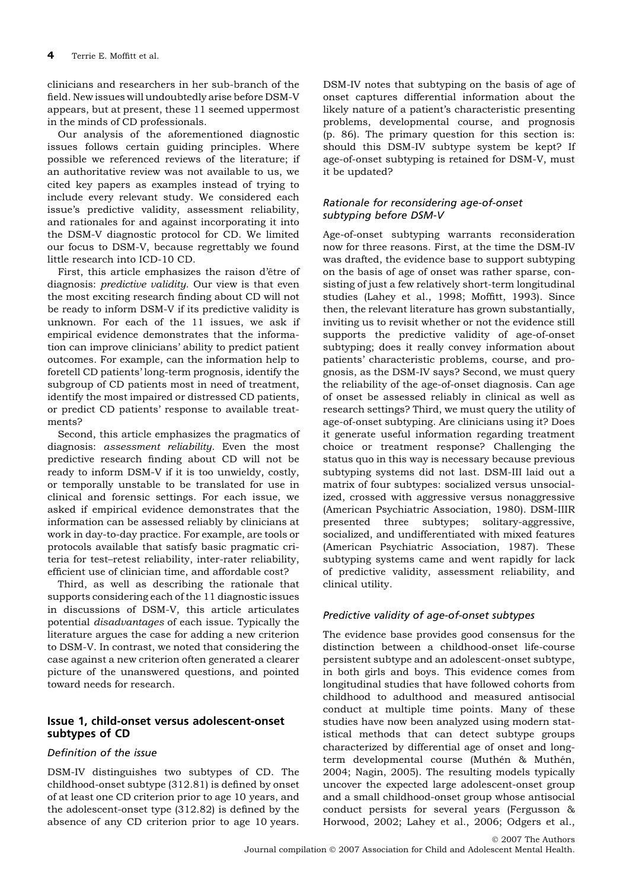clinicians and researchers in her sub-branch of the field. New issues will undoubtedly arise before DSM-V appears, but at present, these 11 seemed uppermost in the minds of CD professionals.

Our analysis of the aforementioned diagnostic issues follows certain guiding principles. Where possible we referenced reviews of the literature; if an authoritative review was not available to us, we cited key papers as examples instead of trying to include every relevant study. We considered each issue's predictive validity, assessment reliability, and rationales for and against incorporating it into the DSM-V diagnostic protocol for CD. We limited our focus to DSM-V, because regrettably we found little research into ICD-10 CD.

First, this article emphasizes the raison d'être of diagnosis: predictive validity. Our view is that even the most exciting research finding about CD will not be ready to inform DSM-V if its predictive validity is unknown. For each of the 11 issues, we ask if empirical evidence demonstrates that the information can improve clinicians' ability to predict patient outcomes. For example, can the information help to foretell CD patients' long-term prognosis, identify the subgroup of CD patients most in need of treatment, identify the most impaired or distressed CD patients, or predict CD patients' response to available treatments?

Second, this article emphasizes the pragmatics of diagnosis: assessment reliability. Even the most predictive research finding about CD will not be ready to inform DSM-V if it is too unwieldy, costly, or temporally unstable to be translated for use in clinical and forensic settings. For each issue, we asked if empirical evidence demonstrates that the information can be assessed reliably by clinicians at work in day-to-day practice. For example, are tools or protocols available that satisfy basic pragmatic criteria for test–retest reliability, inter-rater reliability, efficient use of clinician time, and affordable cost?

Third, as well as describing the rationale that supports considering each of the 11 diagnostic issues in discussions of DSM-V, this article articulates potential disadvantages of each issue. Typically the literature argues the case for adding a new criterion to DSM-V. In contrast, we noted that considering the case against a new criterion often generated a clearer picture of the unanswered questions, and pointed toward needs for research.

## Issue 1, child-onset versus adolescent-onset subtypes of CD

#### Definition of the issue

DSM-IV distinguishes two subtypes of CD. The childhood-onset subtype (312.81) is defined by onset of at least one CD criterion prior to age 10 years, and the adolescent-onset type (312.82) is defined by the absence of any CD criterion prior to age 10 years.

DSM-IV notes that subtyping on the basis of age of onset captures differential information about the likely nature of a patient's characteristic presenting problems, developmental course, and prognosis (p. 86). The primary question for this section is: should this DSM-IV subtype system be kept? If age-of-onset subtyping is retained for DSM-V, must it be updated?

#### Rationale for reconsidering age-of-onset subtyping before DSM-V

Age-of-onset subtyping warrants reconsideration now for three reasons. First, at the time the DSM-IV was drafted, the evidence base to support subtyping on the basis of age of onset was rather sparse, consisting of just a few relatively short-term longitudinal studies (Lahey et al., 1998; Moffitt, 1993). Since then, the relevant literature has grown substantially, inviting us to revisit whether or not the evidence still supports the predictive validity of age-of-onset subtyping; does it really convey information about patients' characteristic problems, course, and prognosis, as the DSM-IV says? Second, we must query the reliability of the age-of-onset diagnosis. Can age of onset be assessed reliably in clinical as well as research settings? Third, we must query the utility of age-of-onset subtyping. Are clinicians using it? Does it generate useful information regarding treatment choice or treatment response? Challenging the status quo in this way is necessary because previous subtyping systems did not last. DSM-III laid out a matrix of four subtypes: socialized versus unsocialized, crossed with aggressive versus nonaggressive (American Psychiatric Association, 1980). DSM-IIIR presented three subtypes; solitary-aggressive, socialized, and undifferentiated with mixed features (American Psychiatric Association, 1987). These subtyping systems came and went rapidly for lack of predictive validity, assessment reliability, and clinical utility.

## Predictive validity of age-of-onset subtypes

The evidence base provides good consensus for the distinction between a childhood-onset life-course persistent subtype and an adolescent-onset subtype, in both girls and boys. This evidence comes from longitudinal studies that have followed cohorts from childhood to adulthood and measured antisocial conduct at multiple time points. Many of these studies have now been analyzed using modern statistical methods that can detect subtype groups characterized by differential age of onset and longterm developmental course (Muthén & Muthén, 2004; Nagin, 2005). The resulting models typically uncover the expected large adolescent-onset group and a small childhood-onset group whose antisocial conduct persists for several years (Fergusson & Horwood, 2002; Lahey et al., 2006; Odgers et al.,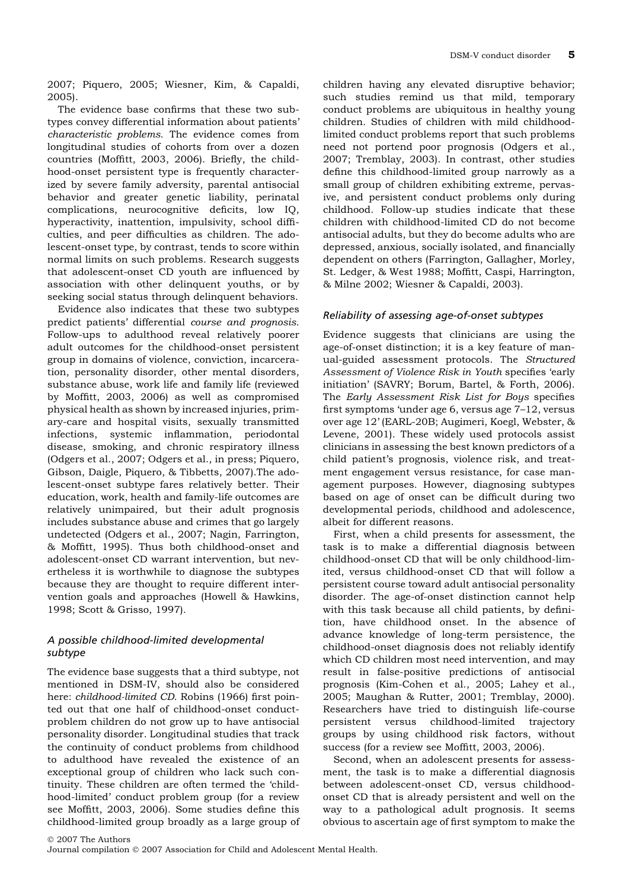2007; Piquero, 2005; Wiesner, Kim, & Capaldi, 2005).

The evidence base confirms that these two subtypes convey differential information about patients' characteristic problems. The evidence comes from longitudinal studies of cohorts from over a dozen countries (Moffitt, 2003, 2006). Briefly, the childhood-onset persistent type is frequently characterized by severe family adversity, parental antisocial behavior and greater genetic liability, perinatal complications, neurocognitive deficits, low IQ, hyperactivity, inattention, impulsivity, school difficulties, and peer difficulties as children. The adolescent-onset type, by contrast, tends to score within normal limits on such problems. Research suggests that adolescent-onset CD youth are influenced by association with other delinquent youths, or by seeking social status through delinquent behaviors.

Evidence also indicates that these two subtypes predict patients' differential course and prognosis. Follow-ups to adulthood reveal relatively poorer adult outcomes for the childhood-onset persistent group in domains of violence, conviction, incarceration, personality disorder, other mental disorders, substance abuse, work life and family life (reviewed by Moffitt, 2003, 2006) as well as compromised physical health as shown by increased injuries, primary-care and hospital visits, sexually transmitted infections, systemic inflammation, periodontal disease, smoking, and chronic respiratory illness (Odgers et al., 2007; Odgers et al., in press; Piquero, Gibson, Daigle, Piquero, & Tibbetts, 2007).The adolescent-onset subtype fares relatively better. Their education, work, health and family-life outcomes are relatively unimpaired, but their adult prognosis includes substance abuse and crimes that go largely undetected (Odgers et al., 2007; Nagin, Farrington, & Moffitt, 1995). Thus both childhood-onset and adolescent-onset CD warrant intervention, but nevertheless it is worthwhile to diagnose the subtypes because they are thought to require different intervention goals and approaches (Howell & Hawkins, 1998; Scott & Grisso, 1997).

#### A possible childhood-limited developmental subtype

The evidence base suggests that a third subtype, not mentioned in DSM-IV, should also be considered here: childhood-limited CD. Robins (1966) first pointed out that one half of childhood-onset conductproblem children do not grow up to have antisocial personality disorder. Longitudinal studies that track the continuity of conduct problems from childhood to adulthood have revealed the existence of an exceptional group of children who lack such continuity. These children are often termed the 'childhood-limited' conduct problem group (for a review see Moffitt, 2003, 2006). Some studies define this childhood-limited group broadly as a large group of children having any elevated disruptive behavior; such studies remind us that mild, temporary conduct problems are ubiquitous in healthy young children. Studies of children with mild childhoodlimited conduct problems report that such problems need not portend poor prognosis (Odgers et al., 2007; Tremblay, 2003). In contrast, other studies define this childhood-limited group narrowly as a small group of children exhibiting extreme, pervasive, and persistent conduct problems only during childhood. Follow-up studies indicate that these children with childhood-limited CD do not become antisocial adults, but they do become adults who are depressed, anxious, socially isolated, and financially dependent on others (Farrington, Gallagher, Morley, St. Ledger, & West 1988; Moffitt, Caspi, Harrington, & Milne 2002; Wiesner & Capaldi, 2003).

#### Reliability of assessing age-of-onset subtypes

Evidence suggests that clinicians are using the age-of-onset distinction; it is a key feature of manual-guided assessment protocols. The Structured Assessment of Violence Risk in Youth specifies 'early initiation' (SAVRY; Borum, Bartel, & Forth, 2006). The Early Assessment Risk List for Boys specifies first symptoms 'under age 6, versus age 7–12, versus over age 12' (EARL-20B; Augimeri, Koegl, Webster, & Levene, 2001). These widely used protocols assist clinicians in assessing the best known predictors of a child patient's prognosis, violence risk, and treatment engagement versus resistance, for case management purposes. However, diagnosing subtypes based on age of onset can be difficult during two developmental periods, childhood and adolescence, albeit for different reasons.

First, when a child presents for assessment, the task is to make a differential diagnosis between childhood-onset CD that will be only childhood-limited, versus childhood-onset CD that will follow a persistent course toward adult antisocial personality disorder. The age-of-onset distinction cannot help with this task because all child patients, by definition, have childhood onset. In the absence of advance knowledge of long-term persistence, the childhood-onset diagnosis does not reliably identify which CD children most need intervention, and may result in false-positive predictions of antisocial prognosis (Kim-Cohen et al., 2005; Lahey et al., 2005; Maughan & Rutter, 2001; Tremblay, 2000). Researchers have tried to distinguish life-course persistent versus childhood-limited trajectory groups by using childhood risk factors, without success (for a review see Moffitt, 2003, 2006).

Second, when an adolescent presents for assessment, the task is to make a differential diagnosis between adolescent-onset CD, versus childhoodonset CD that is already persistent and well on the way to a pathological adult prognosis. It seems obvious to ascertain age of first symptom to make the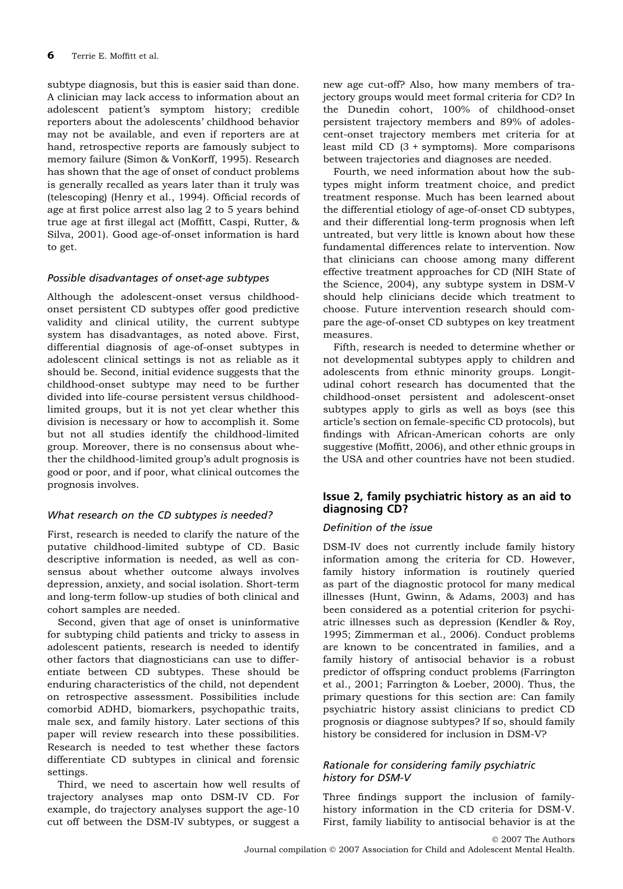subtype diagnosis, but this is easier said than done. A clinician may lack access to information about an adolescent patient's symptom history; credible reporters about the adolescents' childhood behavior may not be available, and even if reporters are at hand, retrospective reports are famously subject to memory failure (Simon & VonKorff, 1995). Research has shown that the age of onset of conduct problems is generally recalled as years later than it truly was (telescoping) (Henry et al., 1994). Official records of age at first police arrest also lag 2 to 5 years behind true age at first illegal act (Moffitt, Caspi, Rutter, & Silva, 2001). Good age-of-onset information is hard to get.

### Possible disadvantages of onset-age subtypes

Although the adolescent-onset versus childhoodonset persistent CD subtypes offer good predictive validity and clinical utility, the current subtype system has disadvantages, as noted above. First, differential diagnosis of age-of-onset subtypes in adolescent clinical settings is not as reliable as it should be. Second, initial evidence suggests that the childhood-onset subtype may need to be further divided into life-course persistent versus childhoodlimited groups, but it is not yet clear whether this division is necessary or how to accomplish it. Some but not all studies identify the childhood-limited group. Moreover, there is no consensus about whether the childhood-limited group's adult prognosis is good or poor, and if poor, what clinical outcomes the prognosis involves.

#### What research on the CD subtypes is needed?

First, research is needed to clarify the nature of the putative childhood-limited subtype of CD. Basic descriptive information is needed, as well as consensus about whether outcome always involves depression, anxiety, and social isolation. Short-term and long-term follow-up studies of both clinical and cohort samples are needed.

Second, given that age of onset is uninformative for subtyping child patients and tricky to assess in adolescent patients, research is needed to identify other factors that diagnosticians can use to differentiate between CD subtypes. These should be enduring characteristics of the child, not dependent on retrospective assessment. Possibilities include comorbid ADHD, biomarkers, psychopathic traits, male sex, and family history. Later sections of this paper will review research into these possibilities. Research is needed to test whether these factors differentiate CD subtypes in clinical and forensic settings.

Third, we need to ascertain how well results of trajectory analyses map onto DSM-IV CD. For example, do trajectory analyses support the age-10 cut off between the DSM-IV subtypes, or suggest a

new age cut-off? Also, how many members of trajectory groups would meet formal criteria for CD? In the Dunedin cohort, 100% of childhood-onset persistent trajectory members and 89% of adolescent-onset trajectory members met criteria for at least mild CD (3 + symptoms). More comparisons between trajectories and diagnoses are needed.

Fourth, we need information about how the subtypes might inform treatment choice, and predict treatment response. Much has been learned about the differential etiology of age-of-onset CD subtypes, and their differential long-term prognosis when left untreated, but very little is known about how these fundamental differences relate to intervention. Now that clinicians can choose among many different effective treatment approaches for CD (NIH State of the Science, 2004), any subtype system in DSM-V should help clinicians decide which treatment to choose. Future intervention research should compare the age-of-onset CD subtypes on key treatment measures.

Fifth, research is needed to determine whether or not developmental subtypes apply to children and adolescents from ethnic minority groups. Longitudinal cohort research has documented that the childhood-onset persistent and adolescent-onset subtypes apply to girls as well as boys (see this article's section on female-specific CD protocols), but findings with African-American cohorts are only suggestive (Moffitt, 2006), and other ethnic groups in the USA and other countries have not been studied.

## Issue 2, family psychiatric history as an aid to diagnosing CD?

#### Definition of the issue

DSM-IV does not currently include family history information among the criteria for CD. However, family history information is routinely queried as part of the diagnostic protocol for many medical illnesses (Hunt, Gwinn, & Adams, 2003) and has been considered as a potential criterion for psychiatric illnesses such as depression (Kendler & Roy, 1995; Zimmerman et al., 2006). Conduct problems are known to be concentrated in families, and a family history of antisocial behavior is a robust predictor of offspring conduct problems (Farrington et al., 2001; Farrington & Loeber, 2000). Thus, the primary questions for this section are: Can family psychiatric history assist clinicians to predict CD prognosis or diagnose subtypes? If so, should family history be considered for inclusion in DSM-V?

### Rationale for considering family psychiatric history for DSM-V

Three findings support the inclusion of familyhistory information in the CD criteria for DSM-V. First, family liability to antisocial behavior is at the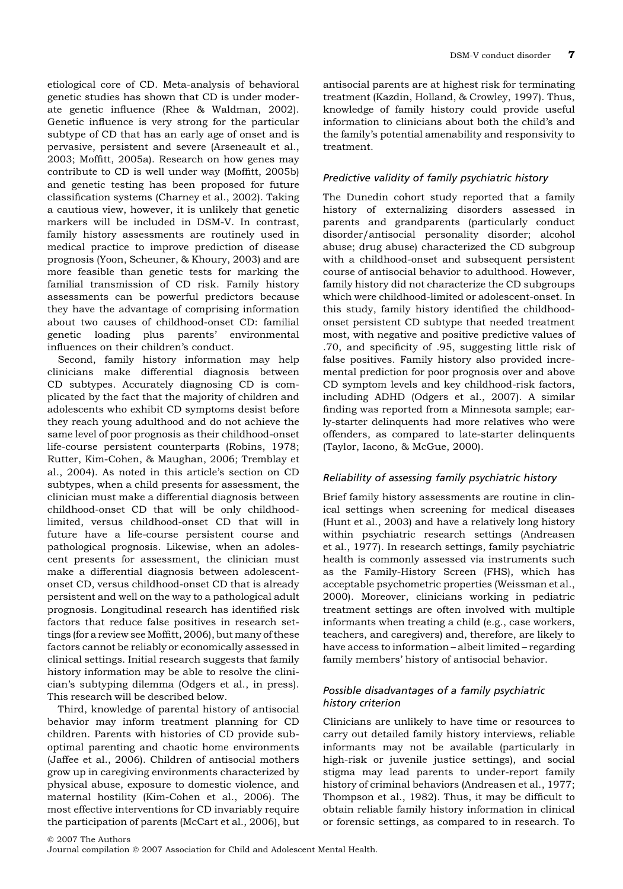etiological core of CD. Meta-analysis of behavioral genetic studies has shown that CD is under moderate genetic influence (Rhee & Waldman, 2002). Genetic influence is very strong for the particular subtype of CD that has an early age of onset and is pervasive, persistent and severe (Arseneault et al., 2003; Moffitt, 2005a). Research on how genes may contribute to CD is well under way (Moffitt, 2005b) and genetic testing has been proposed for future classification systems (Charney et al., 2002). Taking a cautious view, however, it is unlikely that genetic markers will be included in DSM-V. In contrast, family history assessments are routinely used in medical practice to improve prediction of disease prognosis (Yoon, Scheuner, & Khoury, 2003) and are more feasible than genetic tests for marking the familial transmission of CD risk. Family history assessments can be powerful predictors because they have the advantage of comprising information about two causes of childhood-onset CD: familial genetic loading plus parents' environmental influences on their children's conduct.

Second, family history information may help clinicians make differential diagnosis between CD subtypes. Accurately diagnosing CD is complicated by the fact that the majority of children and adolescents who exhibit CD symptoms desist before they reach young adulthood and do not achieve the same level of poor prognosis as their childhood-onset life-course persistent counterparts (Robins, 1978; Rutter, Kim-Cohen, & Maughan, 2006; Tremblay et al., 2004). As noted in this article's section on CD subtypes, when a child presents for assessment, the clinician must make a differential diagnosis between childhood-onset CD that will be only childhoodlimited, versus childhood-onset CD that will in future have a life-course persistent course and pathological prognosis. Likewise, when an adolescent presents for assessment, the clinician must make a differential diagnosis between adolescentonset CD, versus childhood-onset CD that is already persistent and well on the way to a pathological adult prognosis. Longitudinal research has identified risk factors that reduce false positives in research settings (for a review see Moffitt, 2006), but many of these factors cannot be reliably or economically assessed in clinical settings. Initial research suggests that family history information may be able to resolve the clinician's subtyping dilemma (Odgers et al., in press). This research will be described below.

Third, knowledge of parental history of antisocial behavior may inform treatment planning for CD children. Parents with histories of CD provide suboptimal parenting and chaotic home environments (Jaffee et al., 2006). Children of antisocial mothers grow up in caregiving environments characterized by physical abuse, exposure to domestic violence, and maternal hostility (Kim-Cohen et al., 2006). The most effective interventions for CD invariably require the participation of parents (McCart et al., 2006), but antisocial parents are at highest risk for terminating treatment (Kazdin, Holland, & Crowley, 1997). Thus, knowledge of family history could provide useful information to clinicians about both the child's and the family's potential amenability and responsivity to treatment.

#### Predictive validity of family psychiatric history

The Dunedin cohort study reported that a family history of externalizing disorders assessed in parents and grandparents (particularly conduct disorder/antisocial personality disorder; alcohol abuse; drug abuse) characterized the CD subgroup with a childhood-onset and subsequent persistent course of antisocial behavior to adulthood. However, family history did not characterize the CD subgroups which were childhood-limited or adolescent-onset. In this study, family history identified the childhoodonset persistent CD subtype that needed treatment most, with negative and positive predictive values of .70, and specificity of .95, suggesting little risk of false positives. Family history also provided incremental prediction for poor prognosis over and above CD symptom levels and key childhood-risk factors, including ADHD (Odgers et al., 2007). A similar finding was reported from a Minnesota sample; early-starter delinquents had more relatives who were offenders, as compared to late-starter delinquents (Taylor, Iacono, & McGue, 2000).

#### Reliability of assessing family psychiatric history

Brief family history assessments are routine in clinical settings when screening for medical diseases (Hunt et al., 2003) and have a relatively long history within psychiatric research settings (Andreasen et al., 1977). In research settings, family psychiatric health is commonly assessed via instruments such as the Family-History Screen (FHS), which has acceptable psychometric properties (Weissman et al., 2000). Moreover, clinicians working in pediatric treatment settings are often involved with multiple informants when treating a child (e.g., case workers, teachers, and caregivers) and, therefore, are likely to have access to information – albeit limited – regarding family members' history of antisocial behavior.

#### Possible disadvantages of a family psychiatric history criterion

Clinicians are unlikely to have time or resources to carry out detailed family history interviews, reliable informants may not be available (particularly in high-risk or juvenile justice settings), and social stigma may lead parents to under-report family history of criminal behaviors (Andreasen et al., 1977; Thompson et al., 1982). Thus, it may be difficult to obtain reliable family history information in clinical or forensic settings, as compared to in research. To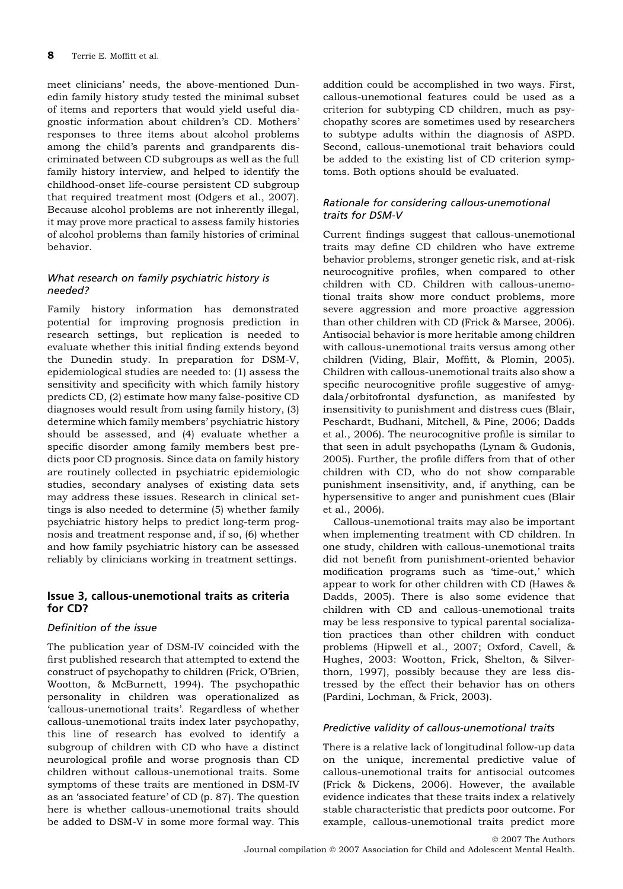meet clinicians' needs, the above-mentioned Dunedin family history study tested the minimal subset of items and reporters that would yield useful diagnostic information about children's CD. Mothers' responses to three items about alcohol problems among the child's parents and grandparents discriminated between CD subgroups as well as the full family history interview, and helped to identify the childhood-onset life-course persistent CD subgroup that required treatment most (Odgers et al., 2007). Because alcohol problems are not inherently illegal, it may prove more practical to assess family histories of alcohol problems than family histories of criminal behavior.

## What research on family psychiatric history is needed?

Family history information has demonstrated potential for improving prognosis prediction in research settings, but replication is needed to evaluate whether this initial finding extends beyond the Dunedin study. In preparation for DSM-V, epidemiological studies are needed to: (1) assess the sensitivity and specificity with which family history predicts CD, (2) estimate how many false-positive CD diagnoses would result from using family history, (3) determine which family members' psychiatric history should be assessed, and (4) evaluate whether a specific disorder among family members best predicts poor CD prognosis. Since data on family history are routinely collected in psychiatric epidemiologic studies, secondary analyses of existing data sets may address these issues. Research in clinical settings is also needed to determine (5) whether family psychiatric history helps to predict long-term prognosis and treatment response and, if so, (6) whether and how family psychiatric history can be assessed reliably by clinicians working in treatment settings.

## Issue 3, callous-unemotional traits as criteria for CD?

#### Definition of the issue

The publication year of DSM-IV coincided with the first published research that attempted to extend the construct of psychopathy to children (Frick, O'Brien, Wootton, & McBurnett, 1994). The psychopathic personality in children was operationalized as 'callous-unemotional traits'. Regardless of whether callous-unemotional traits index later psychopathy, this line of research has evolved to identify a subgroup of children with CD who have a distinct neurological profile and worse prognosis than CD children without callous-unemotional traits. Some symptoms of these traits are mentioned in DSM-IV as an 'associated feature' of CD (p. 87). The question here is whether callous-unemotional traits should be added to DSM-V in some more formal way. This

addition could be accomplished in two ways. First, callous-unemotional features could be used as a criterion for subtyping CD children, much as psychopathy scores are sometimes used by researchers to subtype adults within the diagnosis of ASPD. Second, callous-unemotional trait behaviors could be added to the existing list of CD criterion symptoms. Both options should be evaluated.

#### Rationale for considering callous-unemotional traits for DSM-V

Current findings suggest that callous-unemotional traits may define CD children who have extreme behavior problems, stronger genetic risk, and at-risk neurocognitive profiles, when compared to other children with CD. Children with callous-unemotional traits show more conduct problems, more severe aggression and more proactive aggression than other children with CD (Frick & Marsee, 2006). Antisocial behavior is more heritable among children with callous-unemotional traits versus among other children (Viding, Blair, Moffitt, & Plomin, 2005). Children with callous-unemotional traits also show a specific neurocognitive profile suggestive of amygdala/orbitofrontal dysfunction, as manifested by insensitivity to punishment and distress cues (Blair, Peschardt, Budhani, Mitchell, & Pine, 2006; Dadds et al., 2006). The neurocognitive profile is similar to that seen in adult psychopaths (Lynam & Gudonis, 2005). Further, the profile differs from that of other children with CD, who do not show comparable punishment insensitivity, and, if anything, can be hypersensitive to anger and punishment cues (Blair et al., 2006).

Callous-unemotional traits may also be important when implementing treatment with CD children. In one study, children with callous-unemotional traits did not benefit from punishment-oriented behavior modification programs such as 'time-out,' which appear to work for other children with CD (Hawes & Dadds, 2005). There is also some evidence that children with CD and callous-unemotional traits may be less responsive to typical parental socialization practices than other children with conduct problems (Hipwell et al., 2007; Oxford, Cavell, & Hughes, 2003: Wootton, Frick, Shelton, & Silverthorn, 1997), possibly because they are less distressed by the effect their behavior has on others (Pardini, Lochman, & Frick, 2003).

## Predictive validity of callous-unemotional traits

There is a relative lack of longitudinal follow-up data on the unique, incremental predictive value of callous-unemotional traits for antisocial outcomes (Frick & Dickens, 2006). However, the available evidence indicates that these traits index a relatively stable characteristic that predicts poor outcome. For example, callous-unemotional traits predict more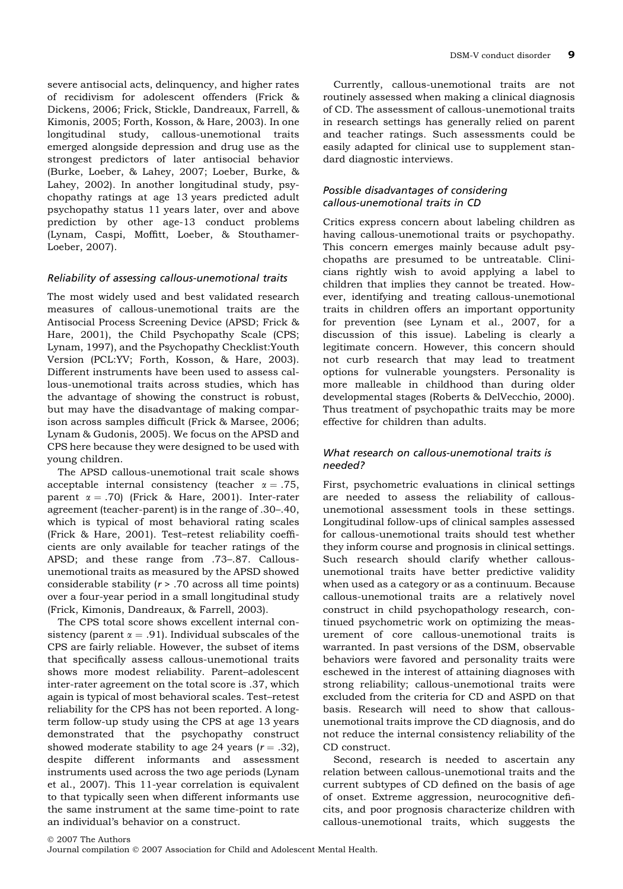severe antisocial acts, delinquency, and higher rates of recidivism for adolescent offenders (Frick & Dickens, 2006; Frick, Stickle, Dandreaux, Farrell, & Kimonis, 2005; Forth, Kosson, & Hare, 2003). In one longitudinal study, callous-unemotional traits emerged alongside depression and drug use as the strongest predictors of later antisocial behavior (Burke, Loeber, & Lahey, 2007; Loeber, Burke, & Lahey, 2002). In another longitudinal study, psychopathy ratings at age 13 years predicted adult psychopathy status 11 years later, over and above

prediction by other age-13 conduct problems (Lynam, Caspi, Moffitt, Loeber, & Stouthamer-Loeber, 2007).

### Reliability of assessing callous-unemotional traits

The most widely used and best validated research measures of callous-unemotional traits are the Antisocial Process Screening Device (APSD; Frick & Hare, 2001), the Child Psychopathy Scale (CPS; Lynam, 1997), and the Psychopathy Checklist:Youth Version (PCL:YV; Forth, Kosson, & Hare, 2003). Different instruments have been used to assess callous-unemotional traits across studies, which has the advantage of showing the construct is robust, but may have the disadvantage of making comparison across samples difficult (Frick & Marsee, 2006; Lynam & Gudonis, 2005). We focus on the APSD and CPS here because they were designed to be used with young children.

The APSD callous-unemotional trait scale shows acceptable internal consistency (teacher  $\alpha = .75$ , parent  $\alpha = .70$ ) (Frick & Hare, 2001). Inter-rater agreement (teacher-parent) is in the range of .30–.40, which is typical of most behavioral rating scales (Frick & Hare, 2001). Test–retest reliability coefficients are only available for teacher ratings of the APSD; and these range from .73–.87. Callousunemotional traits as measured by the APSD showed considerable stability  $(r > .70$  across all time points) over a four-year period in a small longitudinal study (Frick, Kimonis, Dandreaux, & Farrell, 2003).

The CPS total score shows excellent internal consistency (parent  $\alpha = .91$ ). Individual subscales of the CPS are fairly reliable. However, the subset of items that specifically assess callous-unemotional traits shows more modest reliability. Parent–adolescent inter-rater agreement on the total score is .37, which again is typical of most behavioral scales. Test–retest reliability for the CPS has not been reported. A longterm follow-up study using the CPS at age 13 years demonstrated that the psychopathy construct showed moderate stability to age 24 years  $(r=.32)$ , despite different informants and assessment instruments used across the two age periods (Lynam et al., 2007). This 11-year correlation is equivalent to that typically seen when different informants use the same instrument at the same time-point to rate an individual's behavior on a construct.

Currently, callous-unemotional traits are not routinely assessed when making a clinical diagnosis of CD. The assessment of callous-unemotional traits in research settings has generally relied on parent and teacher ratings. Such assessments could be easily adapted for clinical use to supplement standard diagnostic interviews.

### Possible disadvantages of considering callous-unemotional traits in CD

Critics express concern about labeling children as having callous-unemotional traits or psychopathy. This concern emerges mainly because adult psychopaths are presumed to be untreatable. Clinicians rightly wish to avoid applying a label to children that implies they cannot be treated. However, identifying and treating callous-unemotional traits in children offers an important opportunity for prevention (see Lynam et al., 2007, for a discussion of this issue). Labeling is clearly a legitimate concern. However, this concern should not curb research that may lead to treatment options for vulnerable youngsters. Personality is more malleable in childhood than during older developmental stages (Roberts & DelVecchio, 2000). Thus treatment of psychopathic traits may be more effective for children than adults.

### What research on callous-unemotional traits is needed?

First, psychometric evaluations in clinical settings are needed to assess the reliability of callousunemotional assessment tools in these settings. Longitudinal follow-ups of clinical samples assessed for callous-unemotional traits should test whether they inform course and prognosis in clinical settings. Such research should clarify whether callousunemotional traits have better predictive validity when used as a category or as a continuum. Because callous-unemotional traits are a relatively novel construct in child psychopathology research, continued psychometric work on optimizing the measurement of core callous-unemotional traits is warranted. In past versions of the DSM, observable behaviors were favored and personality traits were eschewed in the interest of attaining diagnoses with strong reliability; callous-unemotional traits were excluded from the criteria for CD and ASPD on that basis. Research will need to show that callousunemotional traits improve the CD diagnosis, and do not reduce the internal consistency reliability of the CD construct.

Second, research is needed to ascertain any relation between callous-unemotional traits and the current subtypes of CD defined on the basis of age of onset. Extreme aggression, neurocognitive deficits, and poor prognosis characterize children with callous-unemotional traits, which suggests the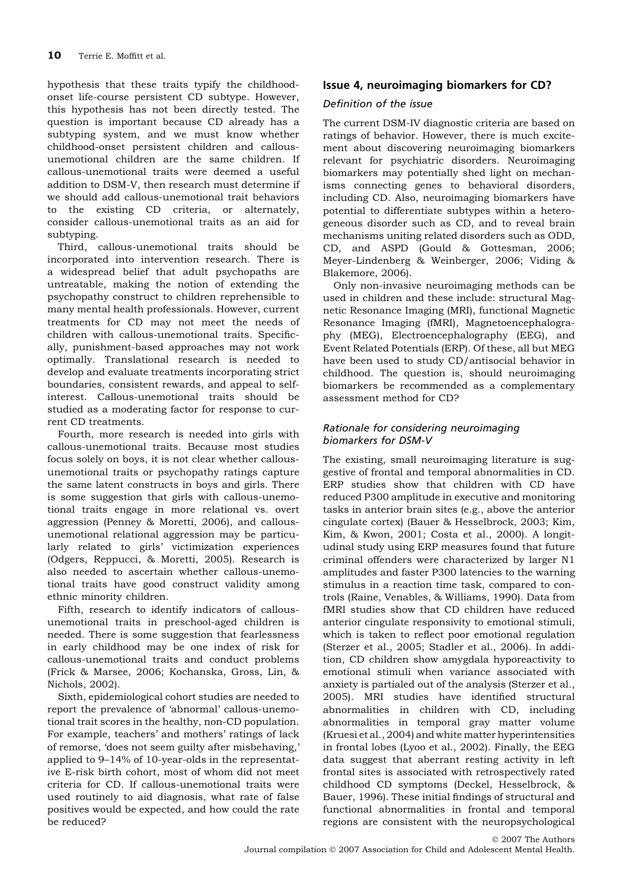hypothesis that these traits typify the childhoodonset life-course persistent CD subtype. However, this hypothesis has not been directly tested. The question is important because CD already has a subtyping system, and we must know whether childhood-onset persistent children and callousunemotional children are the same children. If callous-unemotional traits were deemed a useful addition to DSM-V, then research must determine if we should add callous-unemotional trait behaviors to the existing CD criteria, or alternately, consider callous-unemotional traits as an aid for subtyping.

Third, callous-unemotional traits should be incorporated into intervention research. There is a widespread belief that adult psychopaths are untreatable, making the notion of extending the psychopathy construct to children reprehensible to many mental health professionals. However, current treatments for CD may not meet the needs of children with callous-unemotional traits. Specifically, punishment-based approaches may not work optimally. Translational research is needed to develop and evaluate treatments incorporating strict boundaries, consistent rewards, and appeal to selfinterest. Callous-unemotional traits should be studied as a moderating factor for response to current CD treatments.

Fourth, more research is needed into girls with callous-unemotional traits. Because most studies focus solely on boys, it is not clear whether callousunemotional traits or psychopathy ratings capture the same latent constructs in boys and girls. There is some suggestion that girls with callous-unemotional traits engage in more relational vs. overt aggression (Penney & Moretti, 2006), and callousunemotional relational aggression may be particularly related to girls' victimization experiences (Odgers, Reppucci, & Moretti, 2005). Research is also needed to ascertain whether callous-unemotional traits have good construct validity among ethnic minority children.

Fifth, research to identify indicators of callousunemotional traits in preschool-aged children is needed. There is some suggestion that fearlessness in early childhood may be one index of risk for callous-unemotional traits and conduct problems (Frick & Marsee, 2006; Kochanska, Gross, Lin, & Nichols, 2002).

Sixth, epidemiological cohort studies are needed to report the prevalence of 'abnormal' callous-unemotional trait scores in the healthy, non-CD population. For example, teachers' and mothers' ratings of lack of remorse, 'does not seem guilty after misbehaving,' applied to 9–14% of 10-year-olds in the representative E-risk birth cohort, most of whom did not meet criteria for CD. If callous-unemotional traits were used routinely to aid diagnosis, what rate of false positives would be expected, and how could the rate be reduced?

## Issue 4, neuroimaging biomarkers for CD?

### Definition of the issue

The current DSM-IV diagnostic criteria are based on ratings of behavior. However, there is much excitement about discovering neuroimaging biomarkers relevant for psychiatric disorders. Neuroimaging biomarkers may potentially shed light on mechanisms connecting genes to behavioral disorders, including CD. Also, neuroimaging biomarkers have potential to differentiate subtypes within a heterogeneous disorder such as CD, and to reveal brain mechanisms uniting related disorders such as ODD, CD, and ASPD (Gould & Gottesman, 2006; Meyer-Lindenberg & Weinberger, 2006; Viding & Blakemore, 2006).

Only non-invasive neuroimaging methods can be used in children and these include: structural Magnetic Resonance Imaging (MRI), functional Magnetic Resonance Imaging (fMRI), Magnetoencephalography (MEG), Electroencephalography (EEG), and Event Related Potentials (ERP). Of these, all but MEG have been used to study CD/antisocial behavior in childhood. The question is, should neuroimaging biomarkers be recommended as a complementary assessment method for CD?

#### Rationale for considering neuroimaging biomarkers for DSM-V

The existing, small neuroimaging literature is suggestive of frontal and temporal abnormalities in CD. ERP studies show that children with CD have reduced P300 amplitude in executive and monitoring tasks in anterior brain sites (e.g., above the anterior cingulate cortex) (Bauer & Hesselbrock, 2003; Kim, Kim, & Kwon, 2001; Costa et al., 2000). A longitudinal study using ERP measures found that future criminal offenders were characterized by larger N1 amplitudes and faster P300 latencies to the warning stimulus in a reaction time task, compared to controls (Raine, Venables, & Williams, 1990). Data from fMRI studies show that CD children have reduced anterior cingulate responsivity to emotional stimuli, which is taken to reflect poor emotional regulation (Sterzer et al., 2005; Stadler et al., 2006). In addition, CD children show amygdala hyporeactivity to emotional stimuli when variance associated with anxiety is partialed out of the analysis (Sterzer et al., 2005). MRI studies have identified structural abnormalities in children with CD, including abnormalities in temporal gray matter volume (Kruesi et al., 2004) and white matter hyperintensities in frontal lobes (Lyoo et al., 2002). Finally, the EEG data suggest that aberrant resting activity in left frontal sites is associated with retrospectively rated childhood CD symptoms (Deckel, Hesselbrock, & Bauer, 1996). These initial findings of structural and functional abnormalities in frontal and temporal regions are consistent with the neuropsychological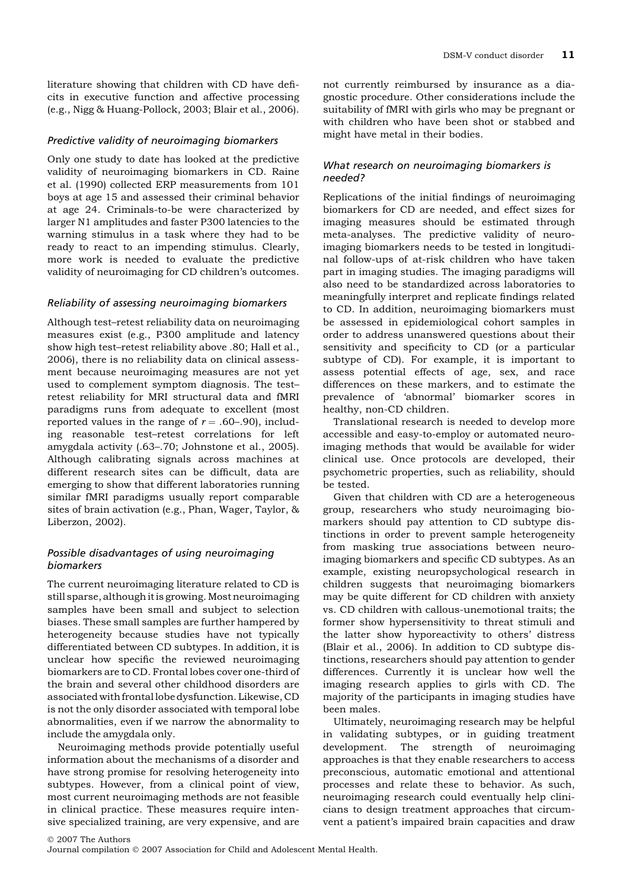literature showing that children with CD have deficits in executive function and affective processing (e.g., Nigg & Huang-Pollock, 2003; Blair et al., 2006).

#### Predictive validity of neuroimaging biomarkers

Only one study to date has looked at the predictive validity of neuroimaging biomarkers in CD. Raine et al. (1990) collected ERP measurements from 101 boys at age 15 and assessed their criminal behavior at age 24. Criminals-to-be were characterized by larger N1 amplitudes and faster P300 latencies to the warning stimulus in a task where they had to be ready to react to an impending stimulus. Clearly, more work is needed to evaluate the predictive validity of neuroimaging for CD children's outcomes.

#### Reliability of assessing neuroimaging biomarkers

Although test–retest reliability data on neuroimaging measures exist (e.g., P300 amplitude and latency show high test–retest reliability above .80; Hall et al., 2006), there is no reliability data on clinical assessment because neuroimaging measures are not yet used to complement symptom diagnosis. The test– retest reliability for MRI structural data and fMRI paradigms runs from adequate to excellent (most reported values in the range of  $r = .60-.90$ , including reasonable test–retest correlations for left amygdala activity (.63–.70; Johnstone et al., 2005). Although calibrating signals across machines at different research sites can be difficult, data are emerging to show that different laboratories running similar fMRI paradigms usually report comparable sites of brain activation (e.g., Phan, Wager, Taylor, & Liberzon, 2002).

### Possible disadvantages of using neuroimaging biomarkers

The current neuroimaging literature related to CD is still sparse, although it is growing. Most neuroimaging samples have been small and subject to selection biases. These small samples are further hampered by heterogeneity because studies have not typically differentiated between CD subtypes. In addition, it is unclear how specific the reviewed neuroimaging biomarkers are to CD. Frontal lobes cover one-third of the brain and several other childhood disorders are associated with frontal lobe dysfunction. Likewise, CD is not the only disorder associated with temporal lobe abnormalities, even if we narrow the abnormality to include the amygdala only.

Neuroimaging methods provide potentially useful information about the mechanisms of a disorder and have strong promise for resolving heterogeneity into subtypes. However, from a clinical point of view, most current neuroimaging methods are not feasible in clinical practice. These measures require intensive specialized training, are very expensive, and are

not currently reimbursed by insurance as a diagnostic procedure. Other considerations include the suitability of fMRI with girls who may be pregnant or with children who have been shot or stabbed and might have metal in their bodies.

### What research on neuroimaging biomarkers is needed?

Replications of the initial findings of neuroimaging biomarkers for CD are needed, and effect sizes for imaging measures should be estimated through meta-analyses. The predictive validity of neuroimaging biomarkers needs to be tested in longitudinal follow-ups of at-risk children who have taken part in imaging studies. The imaging paradigms will also need to be standardized across laboratories to meaningfully interpret and replicate findings related to CD. In addition, neuroimaging biomarkers must be assessed in epidemiological cohort samples in order to address unanswered questions about their sensitivity and specificity to CD (or a particular subtype of CD). For example, it is important to assess potential effects of age, sex, and race differences on these markers, and to estimate the prevalence of 'abnormal' biomarker scores in healthy, non-CD children.

Translational research is needed to develop more accessible and easy-to-employ or automated neuroimaging methods that would be available for wider clinical use. Once protocols are developed, their psychometric properties, such as reliability, should be tested.

Given that children with CD are a heterogeneous group, researchers who study neuroimaging biomarkers should pay attention to CD subtype distinctions in order to prevent sample heterogeneity from masking true associations between neuroimaging biomarkers and specific CD subtypes. As an example, existing neuropsychological research in children suggests that neuroimaging biomarkers may be quite different for CD children with anxiety vs. CD children with callous-unemotional traits; the former show hypersensitivity to threat stimuli and the latter show hyporeactivity to others' distress (Blair et al., 2006). In addition to CD subtype distinctions, researchers should pay attention to gender differences. Currently it is unclear how well the imaging research applies to girls with CD. The majority of the participants in imaging studies have been males.

Ultimately, neuroimaging research may be helpful in validating subtypes, or in guiding treatment development. The strength of neuroimaging approaches is that they enable researchers to access preconscious, automatic emotional and attentional processes and relate these to behavior. As such, neuroimaging research could eventually help clinicians to design treatment approaches that circumvent a patient's impaired brain capacities and draw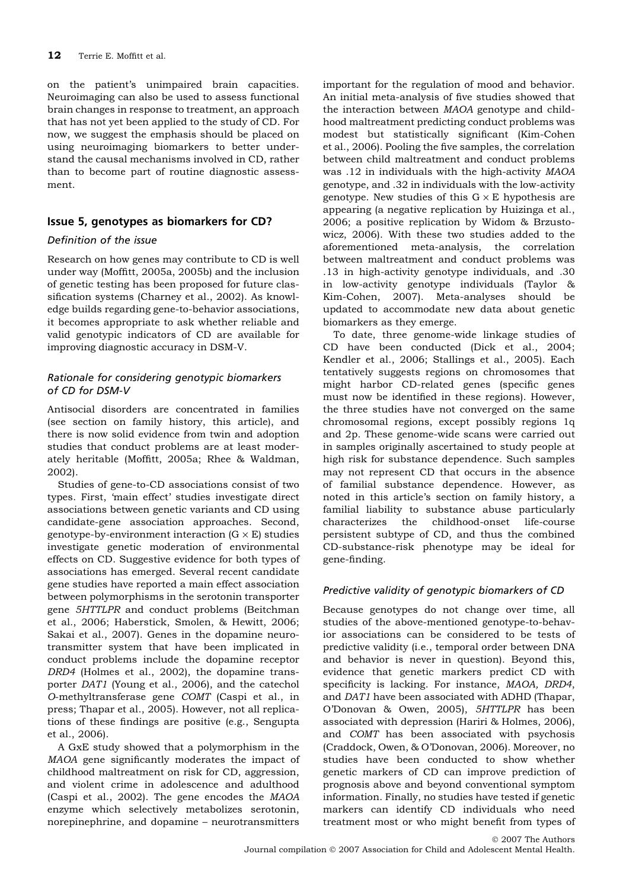on the patient's unimpaired brain capacities. Neuroimaging can also be used to assess functional brain changes in response to treatment, an approach that has not yet been applied to the study of CD. For now, we suggest the emphasis should be placed on using neuroimaging biomarkers to better understand the causal mechanisms involved in CD, rather than to become part of routine diagnostic assessment.

## Issue 5, genotypes as biomarkers for CD?

### Definition of the issue

Research on how genes may contribute to CD is well under way (Moffitt, 2005a, 2005b) and the inclusion of genetic testing has been proposed for future classification systems (Charney et al., 2002). As knowledge builds regarding gene-to-behavior associations, it becomes appropriate to ask whether reliable and valid genotypic indicators of CD are available for improving diagnostic accuracy in DSM-V.

## Rationale for considering genotypic biomarkers of CD for DSM-V

Antisocial disorders are concentrated in families (see section on family history, this article), and there is now solid evidence from twin and adoption studies that conduct problems are at least moderately heritable (Moffitt, 2005a; Rhee & Waldman, 2002).

Studies of gene-to-CD associations consist of two types. First, 'main effect' studies investigate direct associations between genetic variants and CD using candidate-gene association approaches. Second, genotype-by-environment interaction  $(G \times E)$  studies investigate genetic moderation of environmental effects on CD. Suggestive evidence for both types of associations has emerged. Several recent candidate gene studies have reported a main effect association between polymorphisms in the serotonin transporter gene 5HTTLPR and conduct problems (Beitchman et al., 2006; Haberstick, Smolen, & Hewitt, 2006; Sakai et al., 2007). Genes in the dopamine neurotransmitter system that have been implicated in conduct problems include the dopamine receptor DRD4 (Holmes et al., 2002), the dopamine transporter DAT1 (Young et al., 2006), and the catechol O-methyltransferase gene COMT (Caspi et al., in press; Thapar et al., 2005). However, not all replications of these findings are positive (e.g., Sengupta et al., 2006).

A GxE study showed that a polymorphism in the MAOA gene significantly moderates the impact of childhood maltreatment on risk for CD, aggression, and violent crime in adolescence and adulthood (Caspi et al., 2002). The gene encodes the MAOA enzyme which selectively metabolizes serotonin, norepinephrine, and dopamine – neurotransmitters

important for the regulation of mood and behavior. An initial meta-analysis of five studies showed that the interaction between MAOA genotype and childhood maltreatment predicting conduct problems was modest but statistically significant (Kim-Cohen et al., 2006). Pooling the five samples, the correlation between child maltreatment and conduct problems was .12 in individuals with the high-activity MAOA genotype, and .32 in individuals with the low-activity genotype. New studies of this  $G \times E$  hypothesis are appearing (a negative replication by Huizinga et al., 2006; a positive replication by Widom & Brzustowicz, 2006). With these two studies added to the aforementioned meta-analysis, the correlation between maltreatment and conduct problems was .13 in high-activity genotype individuals, and .30 in low-activity genotype individuals (Taylor & Kim-Cohen, 2007). Meta-analyses should be updated to accommodate new data about genetic biomarkers as they emerge.

To date, three genome-wide linkage studies of CD have been conducted (Dick et al., 2004; Kendler et al., 2006; Stallings et al., 2005). Each tentatively suggests regions on chromosomes that might harbor CD-related genes (specific genes must now be identified in these regions). However, the three studies have not converged on the same chromosomal regions, except possibly regions 1q and 2p. These genome-wide scans were carried out in samples originally ascertained to study people at high risk for substance dependence. Such samples may not represent CD that occurs in the absence of familial substance dependence. However, as noted in this article's section on family history, a familial liability to substance abuse particularly characterizes the childhood-onset life-course persistent subtype of CD, and thus the combined CD-substance-risk phenotype may be ideal for gene-finding.

## Predictive validity of genotypic biomarkers of CD

Because genotypes do not change over time, all studies of the above-mentioned genotype-to-behavior associations can be considered to be tests of predictive validity (i.e., temporal order between DNA and behavior is never in question). Beyond this, evidence that genetic markers predict CD with specificity is lacking. For instance, MAOA, DRD4, and DAT1 have been associated with ADHD (Thapar, O'Donovan & Owen, 2005), 5HTTLPR has been associated with depression (Hariri & Holmes, 2006), and COMT has been associated with psychosis (Craddock, Owen, & O'Donovan, 2006). Moreover, no studies have been conducted to show whether genetic markers of CD can improve prediction of prognosis above and beyond conventional symptom information. Finally, no studies have tested if genetic markers can identify CD individuals who need treatment most or who might benefit from types of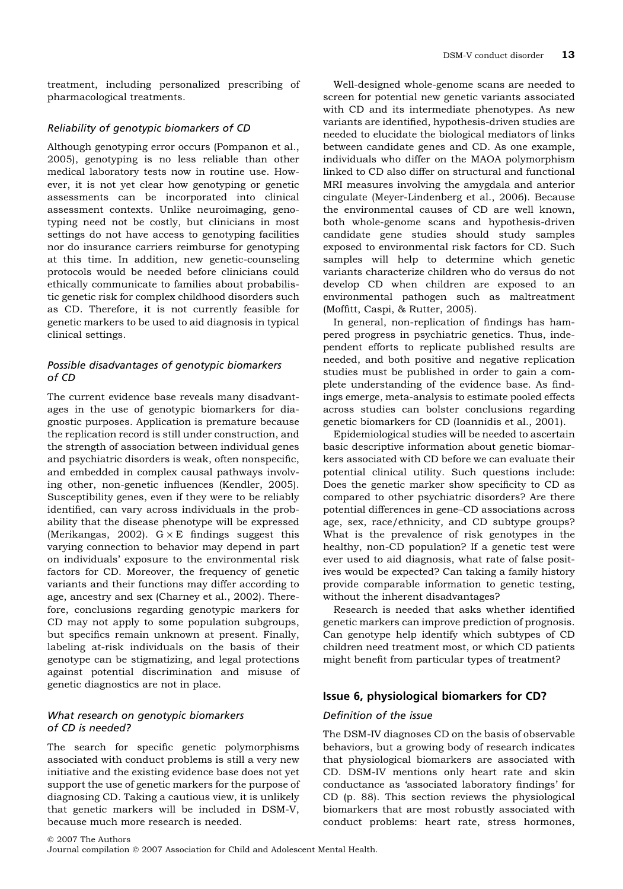treatment, including personalized prescribing of pharmacological treatments.

## Reliability of genotypic biomarkers of CD

Although genotyping error occurs (Pompanon et al., 2005), genotyping is no less reliable than other medical laboratory tests now in routine use. However, it is not yet clear how genotyping or genetic assessments can be incorporated into clinical assessment contexts. Unlike neuroimaging, genotyping need not be costly, but clinicians in most settings do not have access to genotyping facilities nor do insurance carriers reimburse for genotyping at this time. In addition, new genetic-counseling protocols would be needed before clinicians could ethically communicate to families about probabilistic genetic risk for complex childhood disorders such as CD. Therefore, it is not currently feasible for genetic markers to be used to aid diagnosis in typical clinical settings.

#### Possible disadvantages of genotypic biomarkers of CD

The current evidence base reveals many disadvantages in the use of genotypic biomarkers for diagnostic purposes. Application is premature because the replication record is still under construction, and the strength of association between individual genes and psychiatric disorders is weak, often nonspecific, and embedded in complex causal pathways involving other, non-genetic influences (Kendler, 2005). Susceptibility genes, even if they were to be reliably identified, can vary across individuals in the probability that the disease phenotype will be expressed (Merikangas, 2002).  $G \times E$  findings suggest this varying connection to behavior may depend in part on individuals' exposure to the environmental risk factors for CD. Moreover, the frequency of genetic variants and their functions may differ according to age, ancestry and sex (Charney et al., 2002). Therefore, conclusions regarding genotypic markers for CD may not apply to some population subgroups, but specifics remain unknown at present. Finally, labeling at-risk individuals on the basis of their genotype can be stigmatizing, and legal protections against potential discrimination and misuse of genetic diagnostics are not in place.

#### What research on genotypic biomarkers of CD is needed?

The search for specific genetic polymorphisms associated with conduct problems is still a very new initiative and the existing evidence base does not yet support the use of genetic markers for the purpose of diagnosing CD. Taking a cautious view, it is unlikely that genetic markers will be included in DSM-V, because much more research is needed.

Well-designed whole-genome scans are needed to screen for potential new genetic variants associated with CD and its intermediate phenotypes. As new variants are identified, hypothesis-driven studies are needed to elucidate the biological mediators of links between candidate genes and CD. As one example, individuals who differ on the MAOA polymorphism linked to CD also differ on structural and functional MRI measures involving the amygdala and anterior cingulate (Meyer-Lindenberg et al., 2006). Because the environmental causes of CD are well known, both whole-genome scans and hypothesis-driven candidate gene studies should study samples exposed to environmental risk factors for CD. Such samples will help to determine which genetic variants characterize children who do versus do not develop CD when children are exposed to an environmental pathogen such as maltreatment (Moffitt, Caspi, & Rutter, 2005).

In general, non-replication of findings has hampered progress in psychiatric genetics. Thus, independent efforts to replicate published results are needed, and both positive and negative replication studies must be published in order to gain a complete understanding of the evidence base. As findings emerge, meta-analysis to estimate pooled effects across studies can bolster conclusions regarding genetic biomarkers for CD (Ioannidis et al., 2001).

Epidemiological studies will be needed to ascertain basic descriptive information about genetic biomarkers associated with CD before we can evaluate their potential clinical utility. Such questions include: Does the genetic marker show specificity to CD as compared to other psychiatric disorders? Are there potential differences in gene–CD associations across age, sex, race/ethnicity, and CD subtype groups? What is the prevalence of risk genotypes in the healthy, non-CD population? If a genetic test were ever used to aid diagnosis, what rate of false positives would be expected? Can taking a family history provide comparable information to genetic testing, without the inherent disadvantages?

Research is needed that asks whether identified genetic markers can improve prediction of prognosis. Can genotype help identify which subtypes of CD children need treatment most, or which CD patients might benefit from particular types of treatment?

## Issue 6, physiological biomarkers for CD?

#### Definition of the issue

The DSM-IV diagnoses CD on the basis of observable behaviors, but a growing body of research indicates that physiological biomarkers are associated with CD. DSM-IV mentions only heart rate and skin conductance as 'associated laboratory findings' for CD (p. 88). This section reviews the physiological biomarkers that are most robustly associated with conduct problems: heart rate, stress hormones,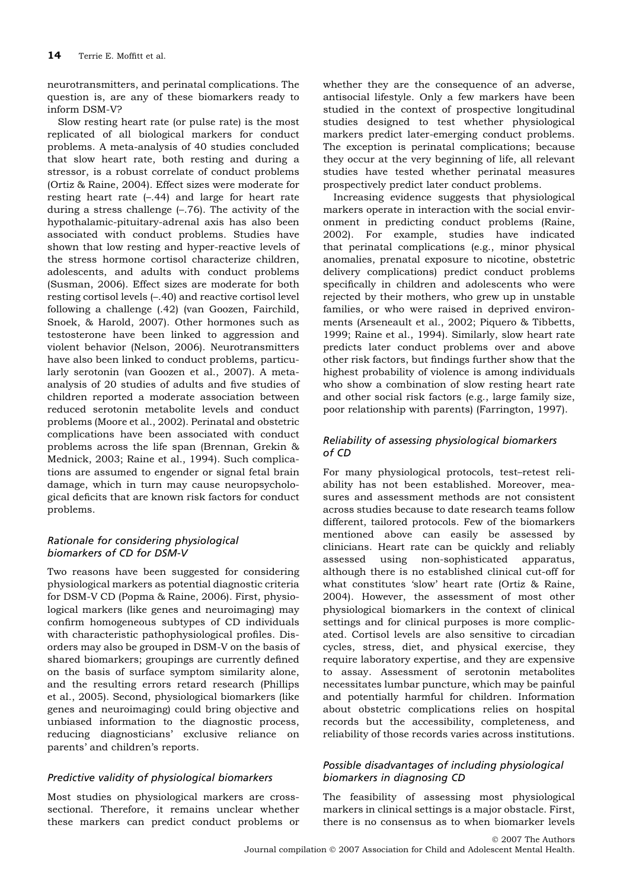neurotransmitters, and perinatal complications. The question is, are any of these biomarkers ready to inform DSM-V?

Slow resting heart rate (or pulse rate) is the most replicated of all biological markers for conduct problems. A meta-analysis of 40 studies concluded that slow heart rate, both resting and during a stressor, is a robust correlate of conduct problems (Ortiz & Raine, 2004). Effect sizes were moderate for resting heart rate  $(-.44)$  and large for heart rate during a stress challenge  $(-.76)$ . The activity of the hypothalamic-pituitary-adrenal axis has also been associated with conduct problems. Studies have shown that low resting and hyper-reactive levels of the stress hormone cortisol characterize children, adolescents, and adults with conduct problems (Susman, 2006). Effect sizes are moderate for both resting cortisol levels (–.40) and reactive cortisol level following a challenge (.42) (van Goozen, Fairchild, Snoek, & Harold, 2007). Other hormones such as testosterone have been linked to aggression and violent behavior (Nelson, 2006). Neurotransmitters have also been linked to conduct problems, particularly serotonin (van Goozen et al., 2007). A metaanalysis of 20 studies of adults and five studies of children reported a moderate association between reduced serotonin metabolite levels and conduct problems (Moore et al., 2002). Perinatal and obstetric complications have been associated with conduct problems across the life span (Brennan, Grekin & Mednick, 2003; Raine et al., 1994). Such complications are assumed to engender or signal fetal brain damage, which in turn may cause neuropsychological deficits that are known risk factors for conduct problems.

## Rationale for considering physiological biomarkers of CD for DSM-V

Two reasons have been suggested for considering physiological markers as potential diagnostic criteria for DSM-V CD (Popma & Raine, 2006). First, physiological markers (like genes and neuroimaging) may confirm homogeneous subtypes of CD individuals with characteristic pathophysiological profiles. Disorders may also be grouped in DSM-V on the basis of shared biomarkers; groupings are currently defined on the basis of surface symptom similarity alone, and the resulting errors retard research (Phillips et al., 2005). Second, physiological biomarkers (like genes and neuroimaging) could bring objective and unbiased information to the diagnostic process, reducing diagnosticians' exclusive reliance on parents' and children's reports.

## Predictive validity of physiological biomarkers

Most studies on physiological markers are crosssectional. Therefore, it remains unclear whether these markers can predict conduct problems or whether they are the consequence of an adverse, antisocial lifestyle. Only a few markers have been studied in the context of prospective longitudinal studies designed to test whether physiological markers predict later-emerging conduct problems. The exception is perinatal complications; because they occur at the very beginning of life, all relevant studies have tested whether perinatal measures prospectively predict later conduct problems.

Increasing evidence suggests that physiological markers operate in interaction with the social environment in predicting conduct problems (Raine, 2002). For example, studies have indicated that perinatal complications (e.g., minor physical anomalies, prenatal exposure to nicotine, obstetric delivery complications) predict conduct problems specifically in children and adolescents who were rejected by their mothers, who grew up in unstable families, or who were raised in deprived environments (Arseneault et al., 2002; Piquero & Tibbetts, 1999; Raine et al., 1994). Similarly, slow heart rate predicts later conduct problems over and above other risk factors, but findings further show that the highest probability of violence is among individuals who show a combination of slow resting heart rate and other social risk factors (e.g., large family size, poor relationship with parents) (Farrington, 1997).

### Reliability of assessing physiological biomarkers of CD

For many physiological protocols, test–retest reliability has not been established. Moreover, measures and assessment methods are not consistent across studies because to date research teams follow different, tailored protocols. Few of the biomarkers mentioned above can easily be assessed by clinicians. Heart rate can be quickly and reliably assessed using non-sophisticated apparatus, although there is no established clinical cut-off for what constitutes 'slow' heart rate (Ortiz & Raine, 2004). However, the assessment of most other physiological biomarkers in the context of clinical settings and for clinical purposes is more complicated. Cortisol levels are also sensitive to circadian cycles, stress, diet, and physical exercise, they require laboratory expertise, and they are expensive to assay. Assessment of serotonin metabolites necessitates lumbar puncture, which may be painful and potentially harmful for children. Information about obstetric complications relies on hospital records but the accessibility, completeness, and reliability of those records varies across institutions.

### Possible disadvantages of including physiological biomarkers in diagnosing CD

The feasibility of assessing most physiological markers in clinical settings is a major obstacle. First, there is no consensus as to when biomarker levels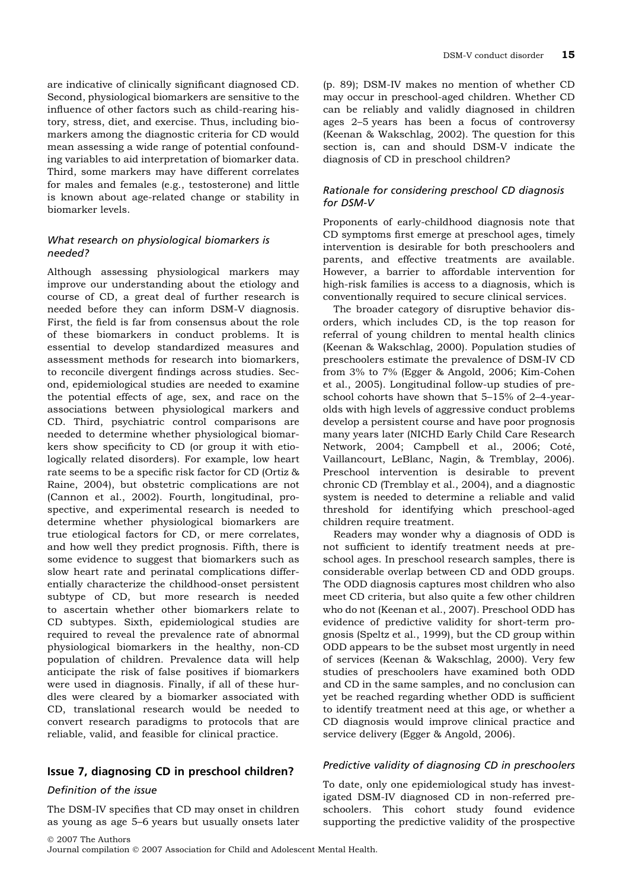are indicative of clinically significant diagnosed CD. Second, physiological biomarkers are sensitive to the influence of other factors such as child-rearing history, stress, diet, and exercise. Thus, including biomarkers among the diagnostic criteria for CD would mean assessing a wide range of potential confounding variables to aid interpretation of biomarker data. Third, some markers may have different correlates for males and females (e.g., testosterone) and little is known about age-related change or stability in biomarker levels.

### What research on physiological biomarkers is needed?

Although assessing physiological markers may improve our understanding about the etiology and course of CD, a great deal of further research is needed before they can inform DSM-V diagnosis. First, the field is far from consensus about the role of these biomarkers in conduct problems. It is essential to develop standardized measures and assessment methods for research into biomarkers, to reconcile divergent findings across studies. Second, epidemiological studies are needed to examine the potential effects of age, sex, and race on the associations between physiological markers and CD. Third, psychiatric control comparisons are needed to determine whether physiological biomarkers show specificity to CD (or group it with etiologically related disorders). For example, low heart rate seems to be a specific risk factor for CD (Ortiz & Raine, 2004), but obstetric complications are not (Cannon et al., 2002). Fourth, longitudinal, prospective, and experimental research is needed to determine whether physiological biomarkers are true etiological factors for CD, or mere correlates, and how well they predict prognosis. Fifth, there is some evidence to suggest that biomarkers such as slow heart rate and perinatal complications differentially characterize the childhood-onset persistent subtype of CD, but more research is needed to ascertain whether other biomarkers relate to CD subtypes. Sixth, epidemiological studies are required to reveal the prevalence rate of abnormal physiological biomarkers in the healthy, non-CD population of children. Prevalence data will help anticipate the risk of false positives if biomarkers were used in diagnosis. Finally, if all of these hurdles were cleared by a biomarker associated with CD, translational research would be needed to convert research paradigms to protocols that are reliable, valid, and feasible for clinical practice.

## Issue 7, diagnosing CD in preschool children?

#### Definition of the issue

The DSM-IV specifies that CD may onset in children as young as age 5–6 years but usually onsets later

(p. 89); DSM-IV makes no mention of whether CD may occur in preschool-aged children. Whether CD can be reliably and validly diagnosed in children ages 2–5 years has been a focus of controversy (Keenan & Wakschlag, 2002). The question for this section is, can and should DSM-V indicate the diagnosis of CD in preschool children?

#### Rationale for considering preschool CD diagnosis for DSM-V

Proponents of early-childhood diagnosis note that CD symptoms first emerge at preschool ages, timely intervention is desirable for both preschoolers and parents, and effective treatments are available. However, a barrier to affordable intervention for high-risk families is access to a diagnosis, which is conventionally required to secure clinical services.

The broader category of disruptive behavior disorders, which includes CD, is the top reason for referral of young children to mental health clinics (Keenan & Wakschlag, 2000). Population studies of preschoolers estimate the prevalence of DSM-IV CD from 3% to 7% (Egger & Angold, 2006; Kim-Cohen et al., 2005). Longitudinal follow-up studies of preschool cohorts have shown that 5–15% of 2–4-yearolds with high levels of aggressive conduct problems develop a persistent course and have poor prognosis many years later (NICHD Early Child Care Research Network, 2004; Campbell et al., 2006; Coté, Vaillancourt, LeBlanc, Nagin, & Tremblay, 2006). Preschool intervention is desirable to prevent chronic CD (Tremblay et al., 2004), and a diagnostic system is needed to determine a reliable and valid threshold for identifying which preschool-aged children require treatment.

Readers may wonder why a diagnosis of ODD is not sufficient to identify treatment needs at preschool ages. In preschool research samples, there is considerable overlap between CD and ODD groups. The ODD diagnosis captures most children who also meet CD criteria, but also quite a few other children who do not (Keenan et al., 2007). Preschool ODD has evidence of predictive validity for short-term prognosis (Speltz et al., 1999), but the CD group within ODD appears to be the subset most urgently in need of services (Keenan & Wakschlag, 2000). Very few studies of preschoolers have examined both ODD and CD in the same samples, and no conclusion can yet be reached regarding whether ODD is sufficient to identify treatment need at this age, or whether a CD diagnosis would improve clinical practice and service delivery (Egger & Angold, 2006).

#### Predictive validity of diagnosing CD in preschoolers

To date, only one epidemiological study has investigated DSM-IV diagnosed CD in non-referred preschoolers. This cohort study found evidence supporting the predictive validity of the prospective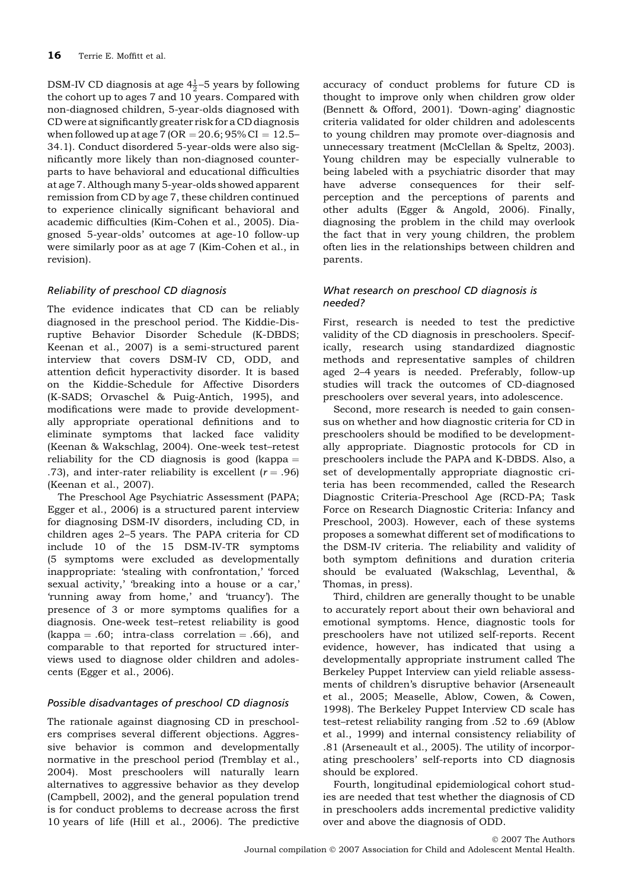DSM-IV CD diagnosis at age  $4\frac{1}{2}$ –5 years by following the cohort up to ages 7 and 10 years. Compared with non-diagnosed children, 5-year-olds diagnosed with CD were at significantly greater risk for a CD diagnosis when followed up at age 7 (OR = 20.6; 95% CI = 12.5– 34.1). Conduct disordered 5-year-olds were also significantly more likely than non-diagnosed counterparts to have behavioral and educational difficulties at age 7. Although many 5-year-olds showed apparent remission from CD by age 7, these children continued to experience clinically significant behavioral and academic difficulties (Kim-Cohen et al., 2005). Diagnosed 5-year-olds' outcomes at age-10 follow-up were similarly poor as at age 7 (Kim-Cohen et al., in revision).

## Reliability of preschool CD diagnosis

The evidence indicates that CD can be reliably diagnosed in the preschool period. The Kiddie-Disruptive Behavior Disorder Schedule (K-DBDS; Keenan et al., 2007) is a semi-structured parent interview that covers DSM-IV CD, ODD, and attention deficit hyperactivity disorder. It is based on the Kiddie-Schedule for Affective Disorders (K-SADS; Orvaschel & Puig-Antich, 1995), and modifications were made to provide developmentally appropriate operational definitions and to eliminate symptoms that lacked face validity (Keenan & Wakschlag, 2004). One-week test–retest reliability for the CD diagnosis is good (kappa  $=$ .73), and inter-rater reliability is excellent  $(r = .96)$ (Keenan et al., 2007).

The Preschool Age Psychiatric Assessment (PAPA; Egger et al., 2006) is a structured parent interview for diagnosing DSM-IV disorders, including CD, in children ages 2–5 years. The PAPA criteria for CD include 10 of the 15 DSM-IV-TR symptoms (5 symptoms were excluded as developmentally inappropriate: 'stealing with confrontation,' 'forced sexual activity,' 'breaking into a house or a car,' 'running away from home,' and 'truancy'). The presence of 3 or more symptoms qualifies for a diagnosis. One-week test–retest reliability is good (kappa = .60; intra-class correlation = .66), and comparable to that reported for structured interviews used to diagnose older children and adolescents (Egger et al., 2006).

## Possible disadvantages of preschool CD diagnosis

The rationale against diagnosing CD in preschoolers comprises several different objections. Aggressive behavior is common and developmentally normative in the preschool period (Tremblay et al., 2004). Most preschoolers will naturally learn alternatives to aggressive behavior as they develop (Campbell, 2002), and the general population trend is for conduct problems to decrease across the first 10 years of life (Hill et al., 2006). The predictive

accuracy of conduct problems for future CD is thought to improve only when children grow older (Bennett & Offord, 2001). 'Down-aging' diagnostic criteria validated for older children and adolescents to young children may promote over-diagnosis and unnecessary treatment (McClellan & Speltz, 2003). Young children may be especially vulnerable to being labeled with a psychiatric disorder that may have adverse consequences for their selfperception and the perceptions of parents and other adults (Egger & Angold, 2006). Finally, diagnosing the problem in the child may overlook the fact that in very young children, the problem often lies in the relationships between children and parents.

### What research on preschool CD diagnosis is needed?

First, research is needed to test the predictive validity of the CD diagnosis in preschoolers. Specifically, research using standardized diagnostic methods and representative samples of children aged 2–4 years is needed. Preferably, follow-up studies will track the outcomes of CD-diagnosed preschoolers over several years, into adolescence.

Second, more research is needed to gain consensus on whether and how diagnostic criteria for CD in preschoolers should be modified to be developmentally appropriate. Diagnostic protocols for CD in preschoolers include the PAPA and K-DBDS. Also, a set of developmentally appropriate diagnostic criteria has been recommended, called the Research Diagnostic Criteria-Preschool Age (RCD-PA; Task Force on Research Diagnostic Criteria: Infancy and Preschool, 2003). However, each of these systems proposes a somewhat different set of modifications to the DSM-IV criteria. The reliability and validity of both symptom definitions and duration criteria should be evaluated (Wakschlag, Leventhal, & Thomas, in press).

Third, children are generally thought to be unable to accurately report about their own behavioral and emotional symptoms. Hence, diagnostic tools for preschoolers have not utilized self-reports. Recent evidence, however, has indicated that using a developmentally appropriate instrument called The Berkeley Puppet Interview can yield reliable assessments of children's disruptive behavior (Arseneault et al., 2005; Measelle, Ablow, Cowen, & Cowen, 1998). The Berkeley Puppet Interview CD scale has test–retest reliability ranging from .52 to .69 (Ablow et al., 1999) and internal consistency reliability of .81 (Arseneault et al., 2005). The utility of incorporating preschoolers' self-reports into CD diagnosis should be explored.

Fourth, longitudinal epidemiological cohort studies are needed that test whether the diagnosis of CD in preschoolers adds incremental predictive validity over and above the diagnosis of ODD.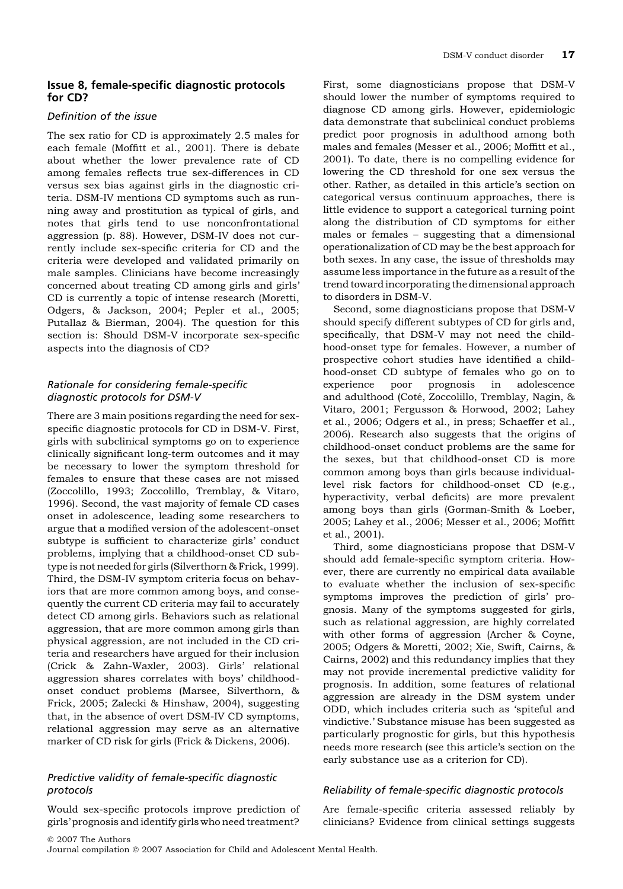## Issue 8, female-specific diagnostic protocols for CD?

#### Definition of the issue

The sex ratio for CD is approximately 2.5 males for each female (Moffitt et al., 2001). There is debate about whether the lower prevalence rate of CD among females reflects true sex-differences in CD versus sex bias against girls in the diagnostic criteria. DSM-IV mentions CD symptoms such as running away and prostitution as typical of girls, and notes that girls tend to use nonconfrontational aggression (p. 88). However, DSM-IV does not currently include sex-specific criteria for CD and the criteria were developed and validated primarily on male samples. Clinicians have become increasingly concerned about treating CD among girls and girls' CD is currently a topic of intense research (Moretti, Odgers, & Jackson, 2004; Pepler et al., 2005; Putallaz & Bierman, 2004). The question for this section is: Should DSM-V incorporate sex-specific aspects into the diagnosis of CD?

### Rationale for considering female-specific diagnostic protocols for DSM-V

There are 3 main positions regarding the need for sexspecific diagnostic protocols for CD in DSM-V. First, girls with subclinical symptoms go on to experience clinically significant long-term outcomes and it may be necessary to lower the symptom threshold for females to ensure that these cases are not missed (Zoccolillo, 1993; Zoccolillo, Tremblay, & Vitaro, 1996). Second, the vast majority of female CD cases onset in adolescence, leading some researchers to argue that a modified version of the adolescent-onset subtype is sufficient to characterize girls' conduct problems, implying that a childhood-onset CD subtype is not needed for girls (Silverthorn & Frick, 1999). Third, the DSM-IV symptom criteria focus on behaviors that are more common among boys, and consequently the current CD criteria may fail to accurately detect CD among girls. Behaviors such as relational aggression, that are more common among girls than physical aggression, are not included in the CD criteria and researchers have argued for their inclusion (Crick & Zahn-Waxler, 2003). Girls' relational aggression shares correlates with boys' childhoodonset conduct problems (Marsee, Silverthorn, & Frick, 2005; Zalecki & Hinshaw, 2004), suggesting that, in the absence of overt DSM-IV CD symptoms, relational aggression may serve as an alternative marker of CD risk for girls (Frick & Dickens, 2006).

## Predictive validity of female-specific diagnostic protocols

Would sex-specific protocols improve prediction of girls' prognosis and identify girls who need treatment?

First, some diagnosticians propose that DSM-V should lower the number of symptoms required to diagnose CD among girls. However, epidemiologic data demonstrate that subclinical conduct problems predict poor prognosis in adulthood among both males and females (Messer et al., 2006; Moffitt et al., 2001). To date, there is no compelling evidence for lowering the CD threshold for one sex versus the other. Rather, as detailed in this article's section on categorical versus continuum approaches, there is little evidence to support a categorical turning point along the distribution of CD symptoms for either males or females – suggesting that a dimensional operationalization of CD may be the best approach for both sexes. In any case, the issue of thresholds may assume less importance in the future as a result of the trend toward incorporating the dimensional approach to disorders in DSM-V.

Second, some diagnosticians propose that DSM-V should specify different subtypes of CD for girls and, specifically, that DSM-V may not need the childhood-onset type for females. However, a number of prospective cohort studies have identified a childhood-onset CD subtype of females who go on to experience poor prognosis in adolescence and adulthood (Coté, Zoccolillo, Tremblay, Nagin, & Vitaro, 2001; Fergusson & Horwood, 2002; Lahey et al., 2006; Odgers et al., in press; Schaeffer et al., 2006). Research also suggests that the origins of childhood-onset conduct problems are the same for the sexes, but that childhood-onset CD is more common among boys than girls because individuallevel risk factors for childhood-onset CD (e.g., hyperactivity, verbal deficits) are more prevalent among boys than girls (Gorman-Smith & Loeber, 2005; Lahey et al., 2006; Messer et al., 2006; Moffitt et al., 2001).

Third, some diagnosticians propose that DSM-V should add female-specific symptom criteria. However, there are currently no empirical data available to evaluate whether the inclusion of sex-specific symptoms improves the prediction of girls' prognosis. Many of the symptoms suggested for girls, such as relational aggression, are highly correlated with other forms of aggression (Archer & Coyne, 2005; Odgers & Moretti, 2002; Xie, Swift, Cairns, & Cairns, 2002) and this redundancy implies that they may not provide incremental predictive validity for prognosis. In addition, some features of relational aggression are already in the DSM system under ODD, which includes criteria such as 'spiteful and vindictive.' Substance misuse has been suggested as particularly prognostic for girls, but this hypothesis needs more research (see this article's section on the early substance use as a criterion for CD).

#### Reliability of female-specific diagnostic protocols

Are female-specific criteria assessed reliably by clinicians? Evidence from clinical settings suggests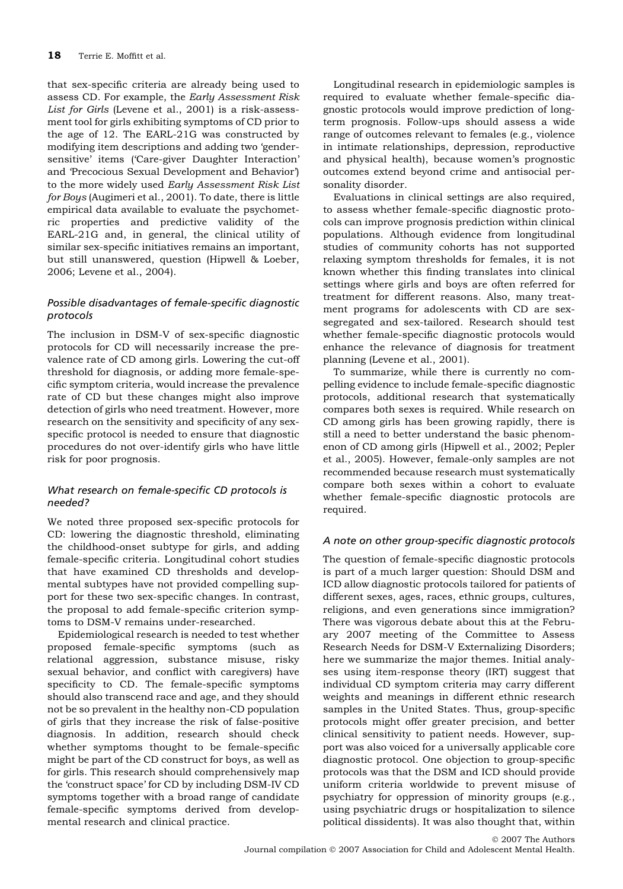that sex-specific criteria are already being used to assess CD. For example, the Early Assessment Risk List for Girls (Levene et al., 2001) is a risk-assessment tool for girls exhibiting symptoms of CD prior to the age of 12. The EARL-21G was constructed by modifying item descriptions and adding two 'gendersensitive' items ('Care-giver Daughter Interaction' and 'Precocious Sexual Development and Behavior') to the more widely used Early Assessment Risk List for Boys (Augimeri et al., 2001). To date, there is little empirical data available to evaluate the psychometric properties and predictive validity of the EARL-21G and, in general, the clinical utility of similar sex-specific initiatives remains an important, but still unanswered, question (Hipwell & Loeber, 2006; Levene et al., 2004).

## Possible disadvantages of female-specific diagnostic protocols

The inclusion in DSM-V of sex-specific diagnostic protocols for CD will necessarily increase the prevalence rate of CD among girls. Lowering the cut-off threshold for diagnosis, or adding more female-specific symptom criteria, would increase the prevalence rate of CD but these changes might also improve detection of girls who need treatment. However, more research on the sensitivity and specificity of any sexspecific protocol is needed to ensure that diagnostic procedures do not over-identify girls who have little risk for poor prognosis.

### What research on female-specific CD protocols is needed?

We noted three proposed sex-specific protocols for CD: lowering the diagnostic threshold, eliminating the childhood-onset subtype for girls, and adding female-specific criteria. Longitudinal cohort studies that have examined CD thresholds and developmental subtypes have not provided compelling support for these two sex-specific changes. In contrast, the proposal to add female-specific criterion symptoms to DSM-V remains under-researched.

Epidemiological research is needed to test whether proposed female-specific symptoms (such as relational aggression, substance misuse, risky sexual behavior, and conflict with caregivers) have specificity to CD. The female-specific symptoms should also transcend race and age, and they should not be so prevalent in the healthy non-CD population of girls that they increase the risk of false-positive diagnosis. In addition, research should check whether symptoms thought to be female-specific might be part of the CD construct for boys, as well as for girls. This research should comprehensively map the 'construct space' for CD by including DSM-IV CD symptoms together with a broad range of candidate female-specific symptoms derived from developmental research and clinical practice.

Longitudinal research in epidemiologic samples is required to evaluate whether female-specific diagnostic protocols would improve prediction of longterm prognosis. Follow-ups should assess a wide range of outcomes relevant to females (e.g., violence in intimate relationships, depression, reproductive and physical health), because women's prognostic outcomes extend beyond crime and antisocial personality disorder.

Evaluations in clinical settings are also required, to assess whether female-specific diagnostic protocols can improve prognosis prediction within clinical populations. Although evidence from longitudinal studies of community cohorts has not supported relaxing symptom thresholds for females, it is not known whether this finding translates into clinical settings where girls and boys are often referred for treatment for different reasons. Also, many treatment programs for adolescents with CD are sexsegregated and sex-tailored. Research should test whether female-specific diagnostic protocols would enhance the relevance of diagnosis for treatment planning (Levene et al., 2001).

To summarize, while there is currently no compelling evidence to include female-specific diagnostic protocols, additional research that systematically compares both sexes is required. While research on CD among girls has been growing rapidly, there is still a need to better understand the basic phenomenon of CD among girls (Hipwell et al., 2002; Pepler et al., 2005). However, female-only samples are not recommended because research must systematically compare both sexes within a cohort to evaluate whether female-specific diagnostic protocols are required.

## A note on other group-specific diagnostic protocols

The question of female-specific diagnostic protocols is part of a much larger question: Should DSM and ICD allow diagnostic protocols tailored for patients of different sexes, ages, races, ethnic groups, cultures, religions, and even generations since immigration? There was vigorous debate about this at the February 2007 meeting of the Committee to Assess Research Needs for DSM-V Externalizing Disorders; here we summarize the major themes. Initial analyses using item-response theory (IRT) suggest that individual CD symptom criteria may carry different weights and meanings in different ethnic research samples in the United States. Thus, group-specific protocols might offer greater precision, and better clinical sensitivity to patient needs. However, support was also voiced for a universally applicable core diagnostic protocol. One objection to group-specific protocols was that the DSM and ICD should provide uniform criteria worldwide to prevent misuse of psychiatry for oppression of minority groups (e.g., using psychiatric drugs or hospitalization to silence political dissidents). It was also thought that, within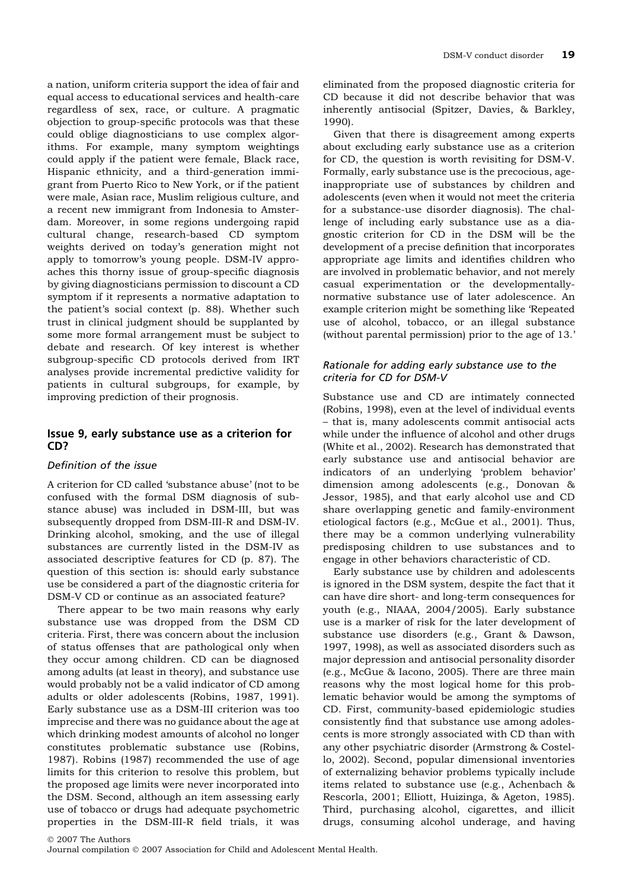a nation, uniform criteria support the idea of fair and equal access to educational services and health-care regardless of sex, race, or culture. A pragmatic objection to group-specific protocols was that these could oblige diagnosticians to use complex algorithms. For example, many symptom weightings could apply if the patient were female, Black race, Hispanic ethnicity, and a third-generation immigrant from Puerto Rico to New York, or if the patient were male, Asian race, Muslim religious culture, and a recent new immigrant from Indonesia to Amsterdam. Moreover, in some regions undergoing rapid cultural change, research-based CD symptom weights derived on today's generation might not apply to tomorrow's young people. DSM-IV approaches this thorny issue of group-specific diagnosis by giving diagnosticians permission to discount a CD symptom if it represents a normative adaptation to the patient's social context (p. 88). Whether such trust in clinical judgment should be supplanted by some more formal arrangement must be subject to debate and research. Of key interest is whether subgroup-specific CD protocols derived from IRT analyses provide incremental predictive validity for patients in cultural subgroups, for example, by improving prediction of their prognosis.

### Issue 9, early substance use as a criterion for CD?

#### Definition of the issue

A criterion for CD called 'substance abuse' (not to be confused with the formal DSM diagnosis of substance abuse) was included in DSM-III, but was subsequently dropped from DSM-III-R and DSM-IV. Drinking alcohol, smoking, and the use of illegal substances are currently listed in the DSM-IV as associated descriptive features for CD (p. 87). The question of this section is: should early substance use be considered a part of the diagnostic criteria for DSM-V CD or continue as an associated feature?

There appear to be two main reasons why early substance use was dropped from the DSM CD criteria. First, there was concern about the inclusion of status offenses that are pathological only when they occur among children. CD can be diagnosed among adults (at least in theory), and substance use would probably not be a valid indicator of CD among adults or older adolescents (Robins, 1987, 1991). Early substance use as a DSM-III criterion was too imprecise and there was no guidance about the age at which drinking modest amounts of alcohol no longer constitutes problematic substance use (Robins, 1987). Robins (1987) recommended the use of age limits for this criterion to resolve this problem, but the proposed age limits were never incorporated into the DSM. Second, although an item assessing early use of tobacco or drugs had adequate psychometric properties in the DSM-III-R field trials, it was

eliminated from the proposed diagnostic criteria for CD because it did not describe behavior that was inherently antisocial (Spitzer, Davies, & Barkley, 1990).

Given that there is disagreement among experts about excluding early substance use as a criterion for CD, the question is worth revisiting for DSM-V. Formally, early substance use is the precocious, ageinappropriate use of substances by children and adolescents (even when it would not meet the criteria for a substance-use disorder diagnosis). The challenge of including early substance use as a diagnostic criterion for CD in the DSM will be the development of a precise definition that incorporates appropriate age limits and identifies children who are involved in problematic behavior, and not merely casual experimentation or the developmentallynormative substance use of later adolescence. An example criterion might be something like 'Repeated use of alcohol, tobacco, or an illegal substance (without parental permission) prior to the age of 13.'

#### Rationale for adding early substance use to the criteria for CD for DSM-V

Substance use and CD are intimately connected (Robins, 1998), even at the level of individual events – that is, many adolescents commit antisocial acts while under the influence of alcohol and other drugs (White et al., 2002). Research has demonstrated that early substance use and antisocial behavior are indicators of an underlying 'problem behavior' dimension among adolescents (e.g., Donovan & Jessor, 1985), and that early alcohol use and CD share overlapping genetic and family-environment etiological factors (e.g., McGue et al., 2001). Thus, there may be a common underlying vulnerability predisposing children to use substances and to engage in other behaviors characteristic of CD.

Early substance use by children and adolescents is ignored in the DSM system, despite the fact that it can have dire short- and long-term consequences for youth (e.g., NIAAA, 2004/2005). Early substance use is a marker of risk for the later development of substance use disorders (e.g., Grant & Dawson, 1997, 1998), as well as associated disorders such as major depression and antisocial personality disorder (e.g., McGue & Iacono, 2005). There are three main reasons why the most logical home for this problematic behavior would be among the symptoms of CD. First, community-based epidemiologic studies consistently find that substance use among adolescents is more strongly associated with CD than with any other psychiatric disorder (Armstrong & Costello, 2002). Second, popular dimensional inventories of externalizing behavior problems typically include items related to substance use (e.g., Achenbach & Rescorla, 2001; Elliott, Huizinga, & Ageton, 1985). Third, purchasing alcohol, cigarettes, and illicit drugs, consuming alcohol underage, and having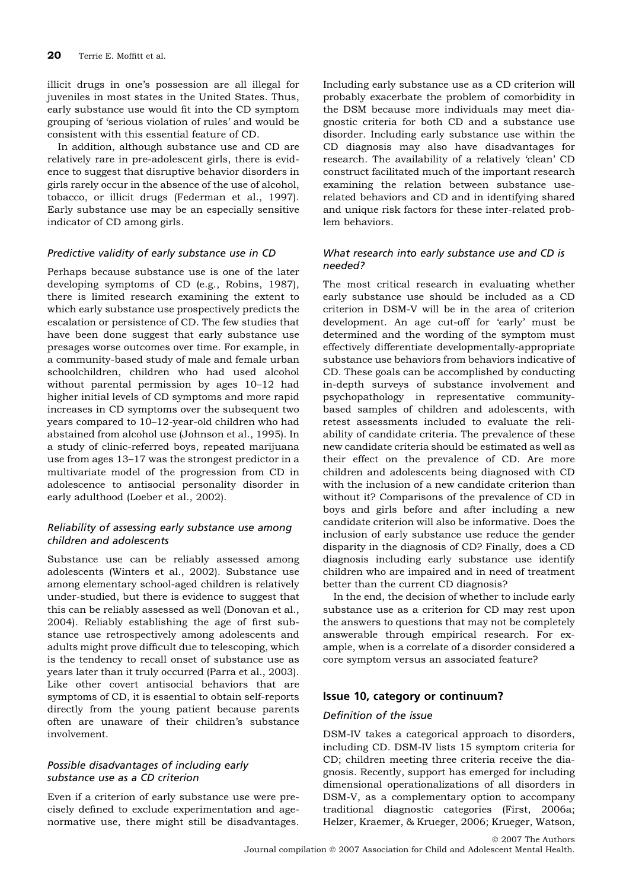illicit drugs in one's possession are all illegal for juveniles in most states in the United States. Thus, early substance use would fit into the CD symptom grouping of 'serious violation of rules' and would be consistent with this essential feature of CD.

In addition, although substance use and CD are relatively rare in pre-adolescent girls, there is evidence to suggest that disruptive behavior disorders in girls rarely occur in the absence of the use of alcohol, tobacco, or illicit drugs (Federman et al., 1997). Early substance use may be an especially sensitive indicator of CD among girls.

#### Predictive validity of early substance use in CD

Perhaps because substance use is one of the later developing symptoms of CD (e.g., Robins, 1987), there is limited research examining the extent to which early substance use prospectively predicts the escalation or persistence of CD. The few studies that have been done suggest that early substance use presages worse outcomes over time. For example, in a community-based study of male and female urban schoolchildren, children who had used alcohol without parental permission by ages 10–12 had higher initial levels of CD symptoms and more rapid increases in CD symptoms over the subsequent two years compared to 10–12-year-old children who had abstained from alcohol use (Johnson et al., 1995). In a study of clinic-referred boys, repeated marijuana use from ages 13–17 was the strongest predictor in a multivariate model of the progression from CD in adolescence to antisocial personality disorder in early adulthood (Loeber et al., 2002).

#### Reliability of assessing early substance use among children and adolescents

Substance use can be reliably assessed among adolescents (Winters et al., 2002). Substance use among elementary school-aged children is relatively under-studied, but there is evidence to suggest that this can be reliably assessed as well (Donovan et al., 2004). Reliably establishing the age of first substance use retrospectively among adolescents and adults might prove difficult due to telescoping, which is the tendency to recall onset of substance use as years later than it truly occurred (Parra et al., 2003). Like other covert antisocial behaviors that are symptoms of CD, it is essential to obtain self-reports directly from the young patient because parents often are unaware of their children's substance involvement.

#### Possible disadvantages of including early substance use as a CD criterion

Even if a criterion of early substance use were precisely defined to exclude experimentation and agenormative use, there might still be disadvantages. Including early substance use as a CD criterion will probably exacerbate the problem of comorbidity in the DSM because more individuals may meet diagnostic criteria for both CD and a substance use disorder. Including early substance use within the CD diagnosis may also have disadvantages for research. The availability of a relatively 'clean' CD construct facilitated much of the important research examining the relation between substance userelated behaviors and CD and in identifying shared and unique risk factors for these inter-related problem behaviors.

#### What research into early substance use and CD is needed?

The most critical research in evaluating whether early substance use should be included as a CD criterion in DSM-V will be in the area of criterion development. An age cut-off for 'early' must be determined and the wording of the symptom must effectively differentiate developmentally-appropriate substance use behaviors from behaviors indicative of CD. These goals can be accomplished by conducting in-depth surveys of substance involvement and psychopathology in representative communitybased samples of children and adolescents, with retest assessments included to evaluate the reliability of candidate criteria. The prevalence of these new candidate criteria should be estimated as well as their effect on the prevalence of CD. Are more children and adolescents being diagnosed with CD with the inclusion of a new candidate criterion than without it? Comparisons of the prevalence of CD in boys and girls before and after including a new candidate criterion will also be informative. Does the inclusion of early substance use reduce the gender disparity in the diagnosis of CD? Finally, does a CD diagnosis including early substance use identify children who are impaired and in need of treatment better than the current CD diagnosis?

In the end, the decision of whether to include early substance use as a criterion for CD may rest upon the answers to questions that may not be completely answerable through empirical research. For example, when is a correlate of a disorder considered a core symptom versus an associated feature?

#### Issue 10, category or continuum?

#### Definition of the issue

DSM-IV takes a categorical approach to disorders, including CD. DSM-IV lists 15 symptom criteria for CD; children meeting three criteria receive the diagnosis. Recently, support has emerged for including dimensional operationalizations of all disorders in DSM-V, as a complementary option to accompany traditional diagnostic categories (First, 2006a; Helzer, Kraemer, & Krueger, 2006; Krueger, Watson,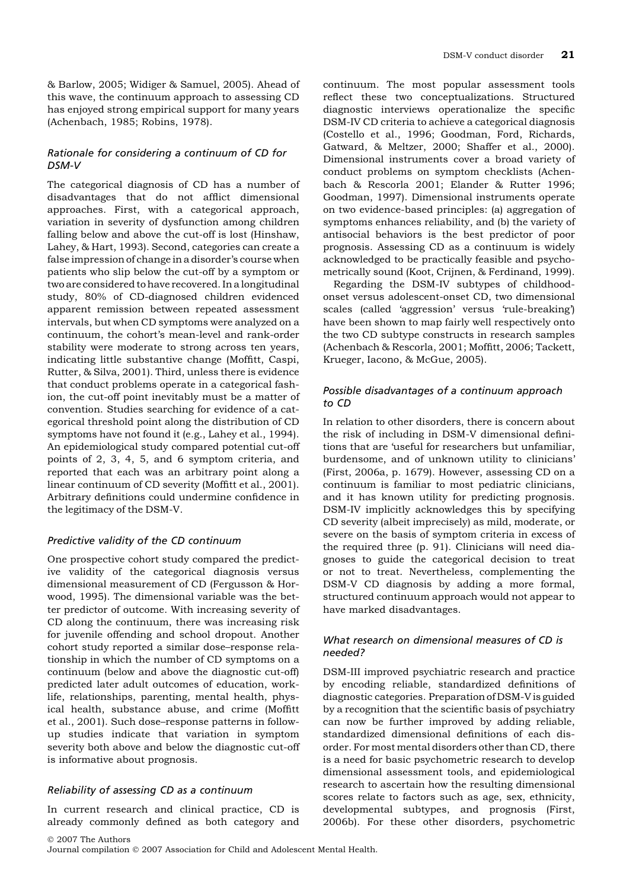& Barlow, 2005; Widiger & Samuel, 2005). Ahead of this wave, the continuum approach to assessing CD has enjoyed strong empirical support for many years (Achenbach, 1985; Robins, 1978).

### Rationale for considering a continuum of CD for DSM-V

The categorical diagnosis of CD has a number of disadvantages that do not afflict dimensional approaches. First, with a categorical approach, variation in severity of dysfunction among children falling below and above the cut-off is lost (Hinshaw, Lahey, & Hart, 1993). Second, categories can create a false impression of change in a disorder's course when patients who slip below the cut-off by a symptom or two are considered to have recovered. In a longitudinal study, 80% of CD-diagnosed children evidenced apparent remission between repeated assessment intervals, but when CD symptoms were analyzed on a continuum, the cohort's mean-level and rank-order stability were moderate to strong across ten years, indicating little substantive change (Moffitt, Caspi, Rutter, & Silva, 2001). Third, unless there is evidence that conduct problems operate in a categorical fashion, the cut-off point inevitably must be a matter of convention. Studies searching for evidence of a categorical threshold point along the distribution of CD symptoms have not found it (e.g., Lahey et al., 1994). An epidemiological study compared potential cut-off points of 2, 3, 4, 5, and 6 symptom criteria, and reported that each was an arbitrary point along a linear continuum of CD severity (Moffitt et al., 2001). Arbitrary definitions could undermine confidence in the legitimacy of the DSM-V.

#### Predictive validity of the CD continuum

One prospective cohort study compared the predictive validity of the categorical diagnosis versus dimensional measurement of CD (Fergusson & Horwood, 1995). The dimensional variable was the better predictor of outcome. With increasing severity of CD along the continuum, there was increasing risk for juvenile offending and school dropout. Another cohort study reported a similar dose–response relationship in which the number of CD symptoms on a continuum (below and above the diagnostic cut-off) predicted later adult outcomes of education, worklife, relationships, parenting, mental health, physical health, substance abuse, and crime (Moffitt et al., 2001). Such dose–response patterns in followup studies indicate that variation in symptom severity both above and below the diagnostic cut-off is informative about prognosis.

#### Reliability of assessing CD as a continuum

In current research and clinical practice, CD is already commonly defined as both category and continuum. The most popular assessment tools reflect these two conceptualizations. Structured diagnostic interviews operationalize the specific DSM-IV CD criteria to achieve a categorical diagnosis (Costello et al., 1996; Goodman, Ford, Richards, Gatward, & Meltzer, 2000; Shaffer et al., 2000). Dimensional instruments cover a broad variety of conduct problems on symptom checklists (Achenbach & Rescorla 2001; Elander & Rutter 1996; Goodman, 1997). Dimensional instruments operate on two evidence-based principles: (a) aggregation of symptoms enhances reliability, and (b) the variety of antisocial behaviors is the best predictor of poor prognosis. Assessing CD as a continuum is widely acknowledged to be practically feasible and psychometrically sound (Koot, Crijnen, & Ferdinand, 1999).

Regarding the DSM-IV subtypes of childhoodonset versus adolescent-onset CD, two dimensional scales (called 'aggression' versus 'rule-breaking') have been shown to map fairly well respectively onto the two CD subtype constructs in research samples (Achenbach & Rescorla, 2001; Moffitt, 2006; Tackett, Krueger, Iacono, & McGue, 2005).

#### Possible disadvantages of a continuum approach to CD

In relation to other disorders, there is concern about the risk of including in DSM-V dimensional definitions that are 'useful for researchers but unfamiliar, burdensome, and of unknown utility to clinicians' (First, 2006a, p. 1679). However, assessing CD on a continuum is familiar to most pediatric clinicians, and it has known utility for predicting prognosis. DSM-IV implicitly acknowledges this by specifying CD severity (albeit imprecisely) as mild, moderate, or severe on the basis of symptom criteria in excess of the required three (p. 91). Clinicians will need diagnoses to guide the categorical decision to treat or not to treat. Nevertheless, complementing the DSM-V CD diagnosis by adding a more formal, structured continuum approach would not appear to have marked disadvantages.

#### What research on dimensional measures of CD is needed?

DSM-III improved psychiatric research and practice by encoding reliable, standardized definitions of diagnostic categories. Preparation of DSM-V is guided by a recognition that the scientific basis of psychiatry can now be further improved by adding reliable, standardized dimensional definitions of each disorder. For most mental disorders other than CD, there is a need for basic psychometric research to develop dimensional assessment tools, and epidemiological research to ascertain how the resulting dimensional scores relate to factors such as age, sex, ethnicity, developmental subtypes, and prognosis (First, 2006b). For these other disorders, psychometric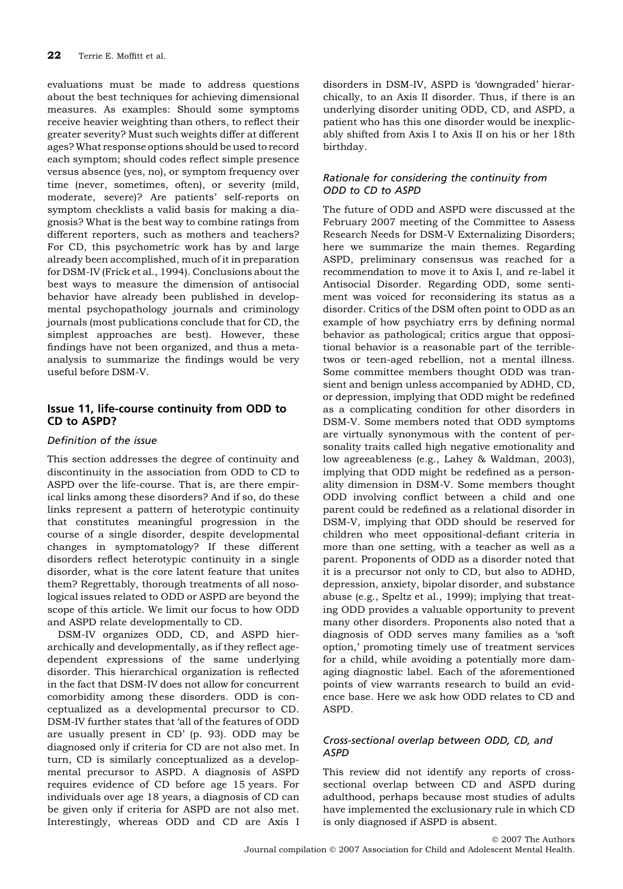evaluations must be made to address questions about the best techniques for achieving dimensional measures. As examples: Should some symptoms receive heavier weighting than others, to reflect their greater severity? Must such weights differ at different ages? What response options should be used to record each symptom; should codes reflect simple presence versus absence (yes, no), or symptom frequency over time (never, sometimes, often), or severity (mild, moderate, severe)? Are patients' self-reports on symptom checklists a valid basis for making a diagnosis? What is the best way to combine ratings from different reporters, such as mothers and teachers? For CD, this psychometric work has by and large already been accomplished, much of it in preparation for DSM-IV (Frick et al., 1994). Conclusions about the best ways to measure the dimension of antisocial behavior have already been published in developmental psychopathology journals and criminology journals (most publications conclude that for CD, the simplest approaches are best). However, these findings have not been organized, and thus a metaanalysis to summarize the findings would be very useful before DSM-V.

## Issue 11, life-course continuity from ODD to CD to ASPD?

## Definition of the issue

This section addresses the degree of continuity and discontinuity in the association from ODD to CD to ASPD over the life-course. That is, are there empirical links among these disorders? And if so, do these links represent a pattern of heterotypic continuity that constitutes meaningful progression in the course of a single disorder, despite developmental changes in symptomatology? If these different disorders reflect heterotypic continuity in a single disorder, what is the core latent feature that unites them? Regrettably, thorough treatments of all nosological issues related to ODD or ASPD are beyond the scope of this article. We limit our focus to how ODD and ASPD relate developmentally to CD.

DSM-IV organizes ODD, CD, and ASPD hierarchically and developmentally, as if they reflect agedependent expressions of the same underlying disorder. This hierarchical organization is reflected in the fact that DSM-IV does not allow for concurrent comorbidity among these disorders. ODD is conceptualized as a developmental precursor to CD. DSM-IV further states that 'all of the features of ODD are usually present in CD' (p. 93). ODD may be diagnosed only if criteria for CD are not also met. In turn, CD is similarly conceptualized as a developmental precursor to ASPD. A diagnosis of ASPD requires evidence of CD before age 15 years. For individuals over age 18 years, a diagnosis of CD can be given only if criteria for ASPD are not also met. Interestingly, whereas ODD and CD are Axis I

disorders in DSM-IV, ASPD is 'downgraded' hierarchically, to an Axis II disorder. Thus, if there is an underlying disorder uniting ODD, CD, and ASPD, a patient who has this one disorder would be inexplicably shifted from Axis I to Axis II on his or her 18th birthday.

### Rationale for considering the continuity from ODD to CD to ASPD

The future of ODD and ASPD were discussed at the February 2007 meeting of the Committee to Assess Research Needs for DSM-V Externalizing Disorders; here we summarize the main themes. Regarding ASPD, preliminary consensus was reached for a recommendation to move it to Axis I, and re-label it Antisocial Disorder. Regarding ODD, some sentiment was voiced for reconsidering its status as a disorder. Critics of the DSM often point to ODD as an example of how psychiatry errs by defining normal behavior as pathological; critics argue that oppositional behavior is a reasonable part of the terribletwos or teen-aged rebellion, not a mental illness. Some committee members thought ODD was transient and benign unless accompanied by ADHD, CD, or depression, implying that ODD might be redefined as a complicating condition for other disorders in DSM-V. Some members noted that ODD symptoms are virtually synonymous with the content of personality traits called high negative emotionality and low agreeableness (e.g., Lahey & Waldman, 2003), implying that ODD might be redefined as a personality dimension in DSM-V. Some members thought ODD involving conflict between a child and one parent could be redefined as a relational disorder in DSM-V, implying that ODD should be reserved for children who meet oppositional-defiant criteria in more than one setting, with a teacher as well as a parent. Proponents of ODD as a disorder noted that it is a precursor not only to CD, but also to ADHD, depression, anxiety, bipolar disorder, and substance abuse (e.g., Speltz et al., 1999); implying that treating ODD provides a valuable opportunity to prevent many other disorders. Proponents also noted that a diagnosis of ODD serves many families as a 'soft option,' promoting timely use of treatment services for a child, while avoiding a potentially more damaging diagnostic label. Each of the aforementioned points of view warrants research to build an evidence base. Here we ask how ODD relates to CD and ASPD.

### Cross-sectional overlap between ODD, CD, and ASPD

This review did not identify any reports of crosssectional overlap between CD and ASPD during adulthood, perhaps because most studies of adults have implemented the exclusionary rule in which CD is only diagnosed if ASPD is absent.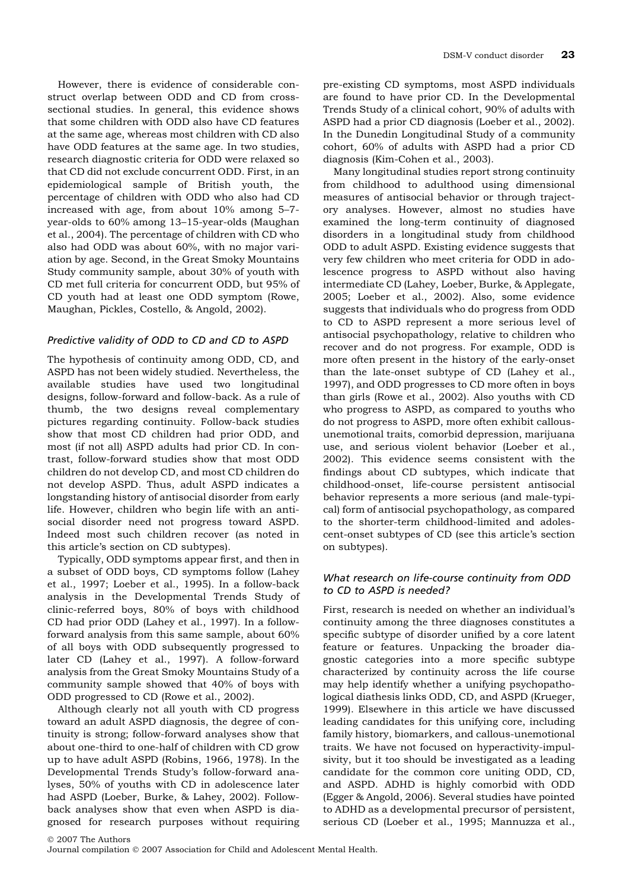However, there is evidence of considerable construct overlap between ODD and CD from crosssectional studies. In general, this evidence shows that some children with ODD also have CD features at the same age, whereas most children with CD also have ODD features at the same age. In two studies, research diagnostic criteria for ODD were relaxed so that CD did not exclude concurrent ODD. First, in an epidemiological sample of British youth, the percentage of children with ODD who also had CD increased with age, from about 10% among 5–7 year-olds to 60% among 13–15-year-olds (Maughan et al., 2004). The percentage of children with CD who also had ODD was about 60%, with no major variation by age. Second, in the Great Smoky Mountains Study community sample, about 30% of youth with CD met full criteria for concurrent ODD, but 95% of CD youth had at least one ODD symptom (Rowe, Maughan, Pickles, Costello, & Angold, 2002).

### Predictive validity of ODD to CD and CD to ASPD

The hypothesis of continuity among ODD, CD, and ASPD has not been widely studied. Nevertheless, the available studies have used two longitudinal designs, follow-forward and follow-back. As a rule of thumb, the two designs reveal complementary pictures regarding continuity. Follow-back studies show that most CD children had prior ODD, and most (if not all) ASPD adults had prior CD. In contrast, follow-forward studies show that most ODD children do not develop CD, and most CD children do not develop ASPD. Thus, adult ASPD indicates a longstanding history of antisocial disorder from early life. However, children who begin life with an antisocial disorder need not progress toward ASPD. Indeed most such children recover (as noted in this article's section on CD subtypes).

Typically, ODD symptoms appear first, and then in a subset of ODD boys, CD symptoms follow (Lahey et al., 1997; Loeber et al., 1995). In a follow-back analysis in the Developmental Trends Study of clinic-referred boys, 80% of boys with childhood CD had prior ODD (Lahey et al., 1997). In a followforward analysis from this same sample, about 60% of all boys with ODD subsequently progressed to later CD (Lahey et al., 1997). A follow-forward analysis from the Great Smoky Mountains Study of a community sample showed that 40% of boys with ODD progressed to CD (Rowe et al., 2002).

Although clearly not all youth with CD progress toward an adult ASPD diagnosis, the degree of continuity is strong; follow-forward analyses show that about one-third to one-half of children with CD grow up to have adult ASPD (Robins, 1966, 1978). In the Developmental Trends Study's follow-forward analyses, 50% of youths with CD in adolescence later had ASPD (Loeber, Burke, & Lahey, 2002). Followback analyses show that even when ASPD is diagnosed for research purposes without requiring

pre-existing CD symptoms, most ASPD individuals are found to have prior CD. In the Developmental Trends Study of a clinical cohort, 90% of adults with ASPD had a prior CD diagnosis (Loeber et al., 2002). In the Dunedin Longitudinal Study of a community cohort, 60% of adults with ASPD had a prior CD diagnosis (Kim-Cohen et al., 2003).

Many longitudinal studies report strong continuity from childhood to adulthood using dimensional measures of antisocial behavior or through trajectory analyses. However, almost no studies have examined the long-term continuity of diagnosed disorders in a longitudinal study from childhood ODD to adult ASPD. Existing evidence suggests that very few children who meet criteria for ODD in adolescence progress to ASPD without also having intermediate CD (Lahey, Loeber, Burke, & Applegate, 2005; Loeber et al., 2002). Also, some evidence suggests that individuals who do progress from ODD to CD to ASPD represent a more serious level of antisocial psychopathology, relative to children who recover and do not progress. For example, ODD is more often present in the history of the early-onset than the late-onset subtype of CD (Lahey et al., 1997), and ODD progresses to CD more often in boys than girls (Rowe et al., 2002). Also youths with CD who progress to ASPD, as compared to youths who do not progress to ASPD, more often exhibit callousunemotional traits, comorbid depression, marijuana use, and serious violent behavior (Loeber et al., 2002). This evidence seems consistent with the findings about CD subtypes, which indicate that childhood-onset, life-course persistent antisocial behavior represents a more serious (and male-typical) form of antisocial psychopathology, as compared to the shorter-term childhood-limited and adolescent-onset subtypes of CD (see this article's section on subtypes).

#### What research on life-course continuity from ODD to CD to ASPD is needed?

First, research is needed on whether an individual's continuity among the three diagnoses constitutes a specific subtype of disorder unified by a core latent feature or features. Unpacking the broader diagnostic categories into a more specific subtype characterized by continuity across the life course may help identify whether a unifying psychopathological diathesis links ODD, CD, and ASPD (Krueger, 1999). Elsewhere in this article we have discussed leading candidates for this unifying core, including family history, biomarkers, and callous-unemotional traits. We have not focused on hyperactivity-impulsivity, but it too should be investigated as a leading candidate for the common core uniting ODD, CD, and ASPD. ADHD is highly comorbid with ODD (Egger & Angold, 2006). Several studies have pointed to ADHD as a developmental precursor of persistent, serious CD (Loeber et al., 1995; Mannuzza et al.,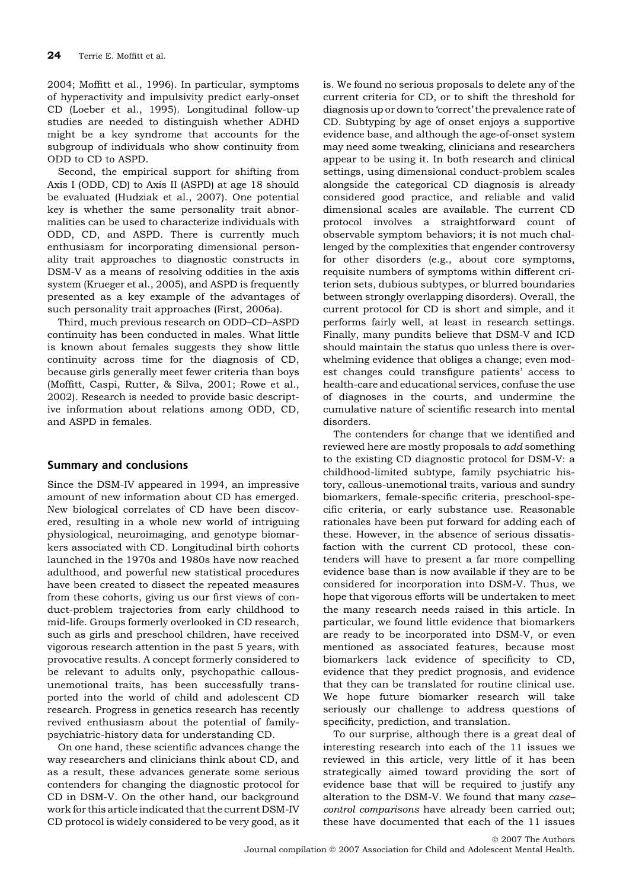2004; Moffitt et al., 1996). In particular, symptoms of hyperactivity and impulsivity predict early-onset CD (Loeber et al., 1995). Longitudinal follow-up studies are needed to distinguish whether ADHD might be a key syndrome that accounts for the subgroup of individuals who show continuity from ODD to CD to ASPD.

Second, the empirical support for shifting from Axis I (ODD, CD) to Axis II (ASPD) at age 18 should be evaluated (Hudziak et al., 2007). One potential key is whether the same personality trait abnormalities can be used to characterize individuals with ODD, CD, and ASPD. There is currently much enthusiasm for incorporating dimensional personality trait approaches to diagnostic constructs in DSM-V as a means of resolving oddities in the axis system (Krueger et al., 2005), and ASPD is frequently presented as a key example of the advantages of such personality trait approaches (First, 2006a).

Third, much previous research on ODD–CD–ASPD continuity has been conducted in males. What little is known about females suggests they show little continuity across time for the diagnosis of CD, because girls generally meet fewer criteria than boys (Moffitt, Caspi, Rutter, & Silva, 2001; Rowe et al., 2002). Research is needed to provide basic descriptive information about relations among ODD, CD, and ASPD in females.

## Summary and conclusions

Since the DSM-IV appeared in 1994, an impressive amount of new information about CD has emerged. New biological correlates of CD have been discovered, resulting in a whole new world of intriguing physiological, neuroimaging, and genotype biomarkers associated with CD. Longitudinal birth cohorts launched in the 1970s and 1980s have now reached adulthood, and powerful new statistical procedures have been created to dissect the repeated measures from these cohorts, giving us our first views of conduct-problem trajectories from early childhood to mid-life. Groups formerly overlooked in CD research, such as girls and preschool children, have received vigorous research attention in the past 5 years, with provocative results. A concept formerly considered to be relevant to adults only, psychopathic callousunemotional traits, has been successfully transported into the world of child and adolescent CD research. Progress in genetics research has recently revived enthusiasm about the potential of familypsychiatric-history data for understanding CD.

On one hand, these scientific advances change the way researchers and clinicians think about CD, and as a result, these advances generate some serious contenders for changing the diagnostic protocol for CD in DSM-V. On the other hand, our background work for this article indicated that the current DSM-IV CD protocol is widely considered to be very good, as it is. We found no serious proposals to delete any of the current criteria for CD, or to shift the threshold for diagnosis up or down to 'correct' the prevalence rate of CD. Subtyping by age of onset enjoys a supportive evidence base, and although the age-of-onset system may need some tweaking, clinicians and researchers appear to be using it. In both research and clinical settings, using dimensional conduct-problem scales alongside the categorical CD diagnosis is already considered good practice, and reliable and valid dimensional scales are available. The current CD protocol involves a straightforward count of observable symptom behaviors; it is not much challenged by the complexities that engender controversy for other disorders (e.g., about core symptoms, requisite numbers of symptoms within different criterion sets, dubious subtypes, or blurred boundaries between strongly overlapping disorders). Overall, the current protocol for CD is short and simple, and it performs fairly well, at least in research settings. Finally, many pundits believe that DSM-V and ICD should maintain the status quo unless there is overwhelming evidence that obliges a change; even modest changes could transfigure patients' access to health-care and educational services, confuse the use of diagnoses in the courts, and undermine the cumulative nature of scientific research into mental disorders.

The contenders for change that we identified and reviewed here are mostly proposals to add something to the existing CD diagnostic protocol for DSM-V: a childhood-limited subtype, family psychiatric history, callous-unemotional traits, various and sundry biomarkers, female-specific criteria, preschool-specific criteria, or early substance use. Reasonable rationales have been put forward for adding each of these. However, in the absence of serious dissatisfaction with the current CD protocol, these contenders will have to present a far more compelling evidence base than is now available if they are to be considered for incorporation into DSM-V. Thus, we hope that vigorous efforts will be undertaken to meet the many research needs raised in this article. In particular, we found little evidence that biomarkers are ready to be incorporated into DSM-V, or even mentioned as associated features, because most biomarkers lack evidence of specificity to CD, evidence that they predict prognosis, and evidence that they can be translated for routine clinical use. We hope future biomarker research will take seriously our challenge to address questions of specificity, prediction, and translation.

To our surprise, although there is a great deal of interesting research into each of the 11 issues we reviewed in this article, very little of it has been strategically aimed toward providing the sort of evidence base that will be required to justify any alteration to the DSM-V. We found that many case– control comparisons have already been carried out; these have documented that each of the 11 issues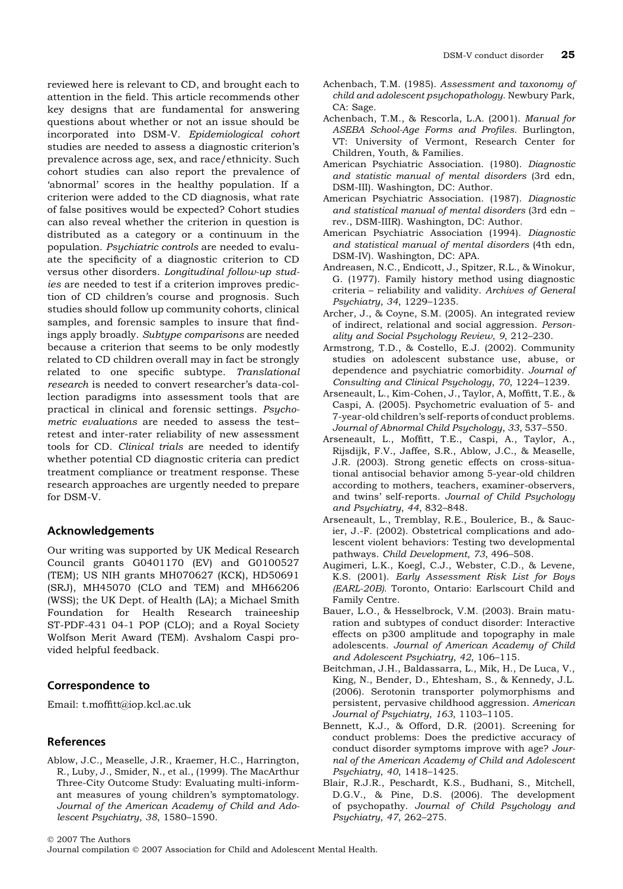reviewed here is relevant to CD, and brought each to attention in the field. This article recommends other key designs that are fundamental for answering questions about whether or not an issue should be incorporated into DSM-V. Epidemiological cohort studies are needed to assess a diagnostic criterion's prevalence across age, sex, and race/ethnicity. Such cohort studies can also report the prevalence of 'abnormal' scores in the healthy population. If a criterion were added to the CD diagnosis, what rate of false positives would be expected? Cohort studies can also reveal whether the criterion in question is distributed as a category or a continuum in the population. Psychiatric controls are needed to evaluate the specificity of a diagnostic criterion to CD versus other disorders. Longitudinal follow-up studies are needed to test if a criterion improves prediction of CD children's course and prognosis. Such studies should follow up community cohorts, clinical samples, and forensic samples to insure that findings apply broadly. Subtype comparisons are needed because a criterion that seems to be only modestly related to CD children overall may in fact be strongly related to one specific subtype. Translational research is needed to convert researcher's data-collection paradigms into assessment tools that are practical in clinical and forensic settings. Psychometric evaluations are needed to assess the test– retest and inter-rater reliability of new assessment tools for CD. Clinical trials are needed to identify whether potential CD diagnostic criteria can predict treatment compliance or treatment response. These research approaches are urgently needed to prepare for DSM-V.

## Acknowledgements

Our writing was supported by UK Medical Research Council grants G0401170 (EV) and G0100527 (TEM); US NIH grants MH070627 (KCK), HD50691 (SRJ), MH45070 (CLO and TEM) and MH66206 (WSS); the UK Dept. of Health (LA); a Michael Smith Foundation for Health Research traineeship ST-PDF-431 04-1 POP (CLO); and a Royal Society Wolfson Merit Award (TEM). Avshalom Caspi provided helpful feedback.

## Correspondence to

Email: t.moffitt@iop.kcl.ac.uk

#### References

Ablow, J.C., Measelle, J.R., Kraemer, H.C., Harrington, R., Luby, J., Smider, N., et al., (1999). The MacArthur Three-City Outcome Study: Evaluating multi-informant measures of young children's symptomatology. Journal of the American Academy of Child and Adolescent Psychiatry, 38, 1580–1590.

- Achenbach, T.M. (1985). Assessment and taxonomy of child and adolescent psychopathology. Newbury Park, CA: Sage.
- Achenbach, T.M., & Rescorla, L.A. (2001). Manual for ASEBA School-Age Forms and Profiles. Burlington, VT: University of Vermont, Research Center for Children, Youth, & Families.
- American Psychiatric Association. (1980). Diagnostic and statistic manual of mental disorders (3rd edn, DSM-III). Washington, DC: Author.
- American Psychiatric Association. (1987). Diagnostic and statistical manual of mental disorders (3rd edn – rev., DSM-IIIR). Washington, DC: Author.
- American Psychiatric Association (1994). Diagnostic and statistical manual of mental disorders (4th edn, DSM-IV). Washington, DC: APA.
- Andreasen, N.C., Endicott, J., Spitzer, R.L., & Winokur, G. (1977). Family history method using diagnostic criteria – reliability and validity. Archives of General Psychiatry, 34, 1229–1235.
- Archer, J., & Coyne, S.M. (2005). An integrated review of indirect, relational and social aggression. Personality and Social Psychology Review, 9, 212–230.
- Armstrong, T.D., & Costello, E.J. (2002). Community studies on adolescent substance use, abuse, or dependence and psychiatric comorbidity. Journal of Consulting and Clinical Psychology, 70, 1224–1239.
- Arseneault, L., Kim-Cohen, J., Taylor, A, Moffitt, T.E., & Caspi, A. (2005). Psychometric evaluation of 5- and 7-year-old children's self-reports of conduct problems. Journal of Abnormal Child Psychology, 33, 537–550.
- Arseneault, L., Moffitt, T.E., Caspi, A., Taylor, A., Rijsdijk, F.V., Jaffee, S.R., Ablow, J.C., & Measelle, J.R. (2003). Strong genetic effects on cross-situational antisocial behavior among 5-year-old children according to mothers, teachers, examiner-observers, and twins' self-reports. Journal of Child Psychology and Psychiatry, 44, 832–848.
- Arseneault, L., Tremblay, R.E., Boulerice, B., & Saucier, J.-F. (2002). Obstetrical complications and adolescent violent behaviors: Testing two developmental pathways. Child Development, 73, 496–508.
- Augimeri, L.K., Koegl, C.J., Webster, C.D., & Levene, K.S. (2001). Early Assessment Risk List for Boys (EARL-20B). Toronto, Ontario: Earlscourt Child and Family Centre.
- Bauer, L.O., & Hesselbrock, V.M. (2003). Brain maturation and subtypes of conduct disorder: Interactive effects on p300 amplitude and topography in male adolescents. Journal of American Academy of Child and Adolescent Psychiatry, 42, 106–115.
- Beitchman, J.H., Baldassarra, L., Mik, H., De Luca, V., King, N., Bender, D., Ehtesham, S., & Kennedy, J.L. (2006). Serotonin transporter polymorphisms and persistent, pervasive childhood aggression. American Journal of Psychiatry, 163, 1103–1105.
- Bennett, K.J., & Offord, D.R. (2001). Screening for conduct problems: Does the predictive accuracy of conduct disorder symptoms improve with age? Journal of the American Academy of Child and Adolescent Psychiatry, 40, 1418–1425.
- Blair, R.J.R., Peschardt, K.S., Budhani, S., Mitchell, D.G.V., & Pine, D.S. (2006). The development of psychopathy. Journal of Child Psychology and Psychiatry, 47, 262–275.

#### © 2007 The Authors

Journal compilation © 2007 Association for Child and Adolescent Mental Health.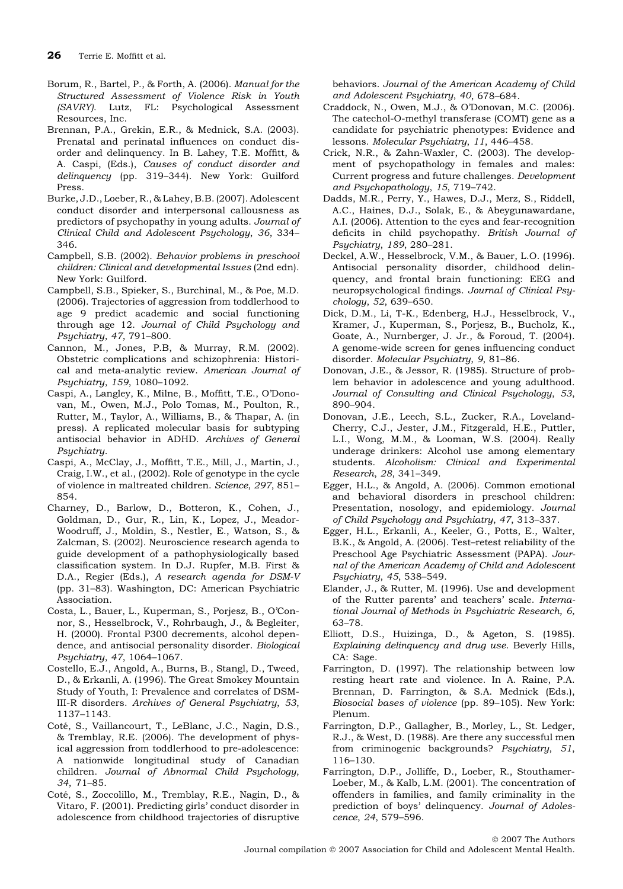- Borum, R., Bartel, P., & Forth, A. (2006). Manual for the Structured Assessment of Violence Risk in Youth (SAVRY). Lutz, FL: Psychological Assessment Resources, Inc.
- Brennan, P.A., Grekin, E.R., & Mednick, S.A. (2003). Prenatal and perinatal influences on conduct disorder and delinquency. In B. Lahey, T.E. Moffitt, & A. Caspi, (Eds.), Causes of conduct disorder and delinquency (pp. 319–344). New York: Guilford Press.
- Burke, J.D., Loeber, R., & Lahey, B.B. (2007). Adolescent conduct disorder and interpersonal callousness as predictors of psychopathy in young adults. Journal of Clinical Child and Adolescent Psychology, 36, 334– 346.
- Campbell, S.B. (2002). Behavior problems in preschool children: Clinical and developmental Issues (2nd edn). New York: Guilford.
- Campbell, S.B., Spieker, S., Burchinal, M., & Poe, M.D. (2006). Trajectories of aggression from toddlerhood to age 9 predict academic and social functioning through age 12. Journal of Child Psychology and Psychiatry, 47, 791–800.
- Cannon, M., Jones, P.B, & Murray, R.M. (2002). Obstetric complications and schizophrenia: Historical and meta-analytic review. American Journal of Psychiatry, 159, 1080–1092.
- Caspi, A., Langley, K., Milne, B., Moffitt, T.E., O'Donovan, M., Owen, M.J., Polo Tomas, M., Poulton, R., Rutter, M., Taylor, A., Williams, B., & Thapar, A. (in press). A replicated molecular basis for subtyping antisocial behavior in ADHD. Archives of General Psychiatry.
- Caspi, A., McClay, J., Moffitt, T.E., Mill, J., Martin, J., Craig, I.W., et al., (2002). Role of genotype in the cycle of violence in maltreated children. Science, 297, 851– 854.
- Charney, D., Barlow, D., Botteron, K., Cohen, J., Goldman, D., Gur, R., Lin, K., Lopez, J., Meador-Woodruff, J., Moldin, S., Nestler, E., Watson, S., & Zalcman, S. (2002). Neuroscience research agenda to guide development of a pathophysiologically based classification system. In D.J. Rupfer, M.B. First & D.A., Regier (Eds.), A research agenda for DSM-V (pp. 31–83). Washington, DC: American Psychiatric Association.
- Costa, L., Bauer, L., Kuperman, S., Porjesz, B., O'Connor, S., Hesselbrock, V., Rohrbaugh, J., & Begleiter, H. (2000). Frontal P300 decrements, alcohol dependence, and antisocial personality disorder. Biological Psychiatry, 47, 1064–1067.
- Costello, E.J., Angold, A., Burns, B., Stangl, D., Tweed, D., & Erkanli, A. (1996). The Great Smokey Mountain Study of Youth, I: Prevalence and correlates of DSM-III-R disorders. Archives of General Psychiatry, 53, 1137–1143.
- Coté, S., Vaillancourt, T., LeBlanc, J.C., Nagin, D.S., & Tremblay, R.E. (2006). The development of physical aggression from toddlerhood to pre-adolescence: A nationwide longitudinal study of Canadian children. Journal of Abnormal Child Psychology, 34, 71–85.
- Coté, S., Zoccolillo, M., Tremblay, R.E., Nagin, D., & Vitaro, F. (2001). Predicting girls' conduct disorder in adolescence from childhood trajectories of disruptive

behaviors. Journal of the American Academy of Child and Adolescent Psychiatry, 40, 678–684.

- Craddock, N., Owen, M.J., & O'Donovan, M.C. (2006). The catechol-O-methyl transferase (COMT) gene as a candidate for psychiatric phenotypes: Evidence and lessons. Molecular Psychiatry, 11, 446–458.
- Crick, N.R., & Zahn-Waxler, C. (2003). The development of psychopathology in females and males: Current progress and future challenges. Development and Psychopathology, 15, 719–742.
- Dadds, M.R., Perry, Y., Hawes, D.J., Merz, S., Riddell, A.C., Haines, D.J., Solak, E., & Abeygunawardane, A.I. (2006). Attention to the eyes and fear-recognition deficits in child psychopathy. British Journal of Psychiatry, 189, 280–281.
- Deckel, A.W., Hesselbrock, V.M., & Bauer, L.O. (1996). Antisocial personality disorder, childhood delinquency, and frontal brain functioning: EEG and neuropsychological findings. Journal of Clinical Psychology, 52, 639–650.
- Dick, D.M., Li, T-K., Edenberg, H.J., Hesselbrock, V., Kramer, J., Kuperman, S., Porjesz, B., Bucholz, K., Goate, A., Nurnberger, J. Jr., & Foroud, T. (2004). A genome-wide screen for genes influencing conduct disorder. Molecular Psychiatry, 9, 81–86.
- Donovan, J.E., & Jessor, R. (1985). Structure of problem behavior in adolescence and young adulthood. Journal of Consulting and Clinical Psychology, 53, 890–904.
- Donovan, J.E., Leech, S.L., Zucker, R.A., Loveland-Cherry, C.J., Jester, J.M., Fitzgerald, H.E., Puttler, L.I., Wong, M.M., & Looman, W.S. (2004). Really underage drinkers: Alcohol use among elementary students. Alcoholism: Clinical and Experimental Research, 28, 341–349.
- Egger, H.L., & Angold, A. (2006). Common emotional and behavioral disorders in preschool children: Presentation, nosology, and epidemiology. Journal of Child Psychology and Psychiatry, 47, 313–337.
- Egger, H.L., Erkanli, A., Keeler, G., Potts, E., Walter, B.K., & Angold, A. (2006). Test–retest reliability of the Preschool Age Psychiatric Assessment (PAPA). Journal of the American Academy of Child and Adolescent Psychiatry, 45, 538–549.
- Elander, J., & Rutter, M. (1996). Use and development of the Rutter parents' and teachers' scale. International Journal of Methods in Psychiatric Research, 6, 63–78.
- Elliott, D.S., Huizinga, D., & Ageton, S. (1985). Explaining delinquency and drug use. Beverly Hills, CA: Sage.
- Farrington, D. (1997). The relationship between low resting heart rate and violence. In A. Raine, P.A. Brennan, D. Farrington, & S.A. Mednick (Eds.), Biosocial bases of violence (pp. 89–105). New York: Plenum.
- Farrington, D.P., Gallagher, B., Morley, L., St. Ledger, R.J., & West, D. (1988). Are there any successful men from criminogenic backgrounds? Psychiatry, 51, 116–130.
- Farrington, D.P., Jolliffe, D., Loeber, R., Stouthamer-Loeber, M., & Kalb, L.M. (2001). The concentration of offenders in families, and family criminality in the prediction of boys' delinquency. Journal of Adolescence, 24, 579–596.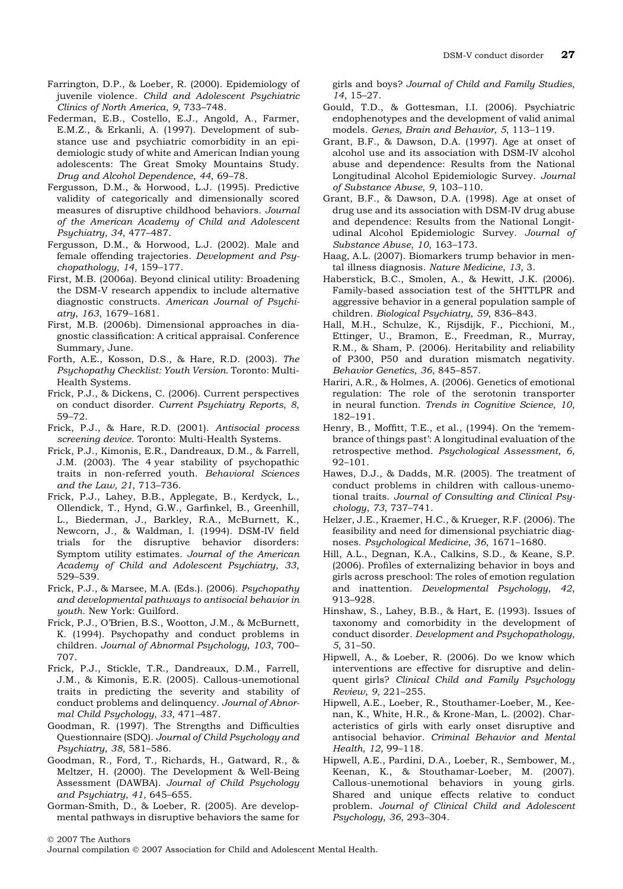- Farrington, D.P., & Loeber, R. (2000). Epidemiology of juvenile violence. Child and Adolescent Psychiatric Clinics of North America, 9, 733–748.
- Federman, E.B., Costello, E.J., Angold, A., Farmer, E.M.Z., & Erkanli, A. (1997). Development of substance use and psychiatric comorbidity in an epidemiologic study of white and American Indian young adolescents: The Great Smoky Mountains Study. Drug and Alcohol Dependence, 44, 69–78.
- Fergusson, D.M., & Horwood, L.J. (1995). Predictive validity of categorically and dimensionally scored measures of disruptive childhood behaviors. Journal of the American Academy of Child and Adolescent Psychiatry, 34, 477–487.
- Fergusson, D.M., & Horwood, L.J. (2002). Male and female offending trajectories. Development and Psychopathology, 14, 159–177.
- First, M.B. (2006a). Beyond clinical utility: Broadening the DSM-V research appendix to include alternative diagnostic constructs. American Journal of Psychiatry, 163, 1679–1681.
- First, M.B. (2006b). Dimensional approaches in diagnostic classification: A critical appraisal. Conference Summary, June.
- Forth, A.E., Kosson, D.S., & Hare, R.D. (2003). The Psychopathy Checklist: Youth Version. Toronto: Multi-Health Systems.
- Frick, P.J., & Dickens, C. (2006). Current perspectives on conduct disorder. Current Psychiatry Reports, 8, 59–72.
- Frick, P.J., & Hare, R.D. (2001). Antisocial process screening device. Toronto: Multi-Health Systems.
- Frick, P.J., Kimonis, E.R., Dandreaux, D.M., & Farrell, J.M. (2003). The 4 year stability of psychopathic traits in non-referred youth. Behavioral Sciences and the Law, 21, 713–736.
- Frick, P.J., Lahey, B.B., Applegate, B., Kerdyck, L., Ollendick, T., Hynd, G.W., Garfinkel, B., Greenhill, L., Biederman, J., Barkley, R.A., McBurnett, K., Newcorn, J., & Waldman, I. (1994). DSM-IV field trials for the disruptive behavior disorders: Symptom utility estimates. Journal of the American Academy of Child and Adolescent Psychiatry, 33, 529–539.
- Frick, P.J., & Marsee, M.A. (Eds.). (2006). Psychopathy and developmental pathways to antisocial behavior in youth. New York: Guilford.
- Frick, P.J., O'Brien, B.S., Wootton, J.M., & McBurnett, K. (1994). Psychopathy and conduct problems in children. Journal of Abnormal Psychology, 103, 700– 707.
- Frick, P.J., Stickle, T.R., Dandreaux, D.M., Farrell, J.M., & Kimonis, E.R. (2005). Callous-unemotional traits in predicting the severity and stability of conduct problems and delinquency. Journal of Abnormal Child Psychology, 33, 471–487.
- Goodman, R. (1997). The Strengths and Difficulties Questionnaire (SDQ). Journal of Child Psychology and Psychiatry, 38, 581–586.
- Goodman, R., Ford, T., Richards, H., Gatward, R., & Meltzer, H. (2000). The Development & Well-Being Assessment (DAWBA). Journal of Child Psychology and Psychiatry, 41, 645–655.
- Gorman-Smith, D., & Loeber, R. (2005). Are developmental pathways in disruptive behaviors the same for

girls and boys? Journal of Child and Family Studies, 14, 15–27.

- Gould, T.D., & Gottesman, I.I. (2006). Psychiatric endophenotypes and the development of valid animal models. Genes, Brain and Behavior, 5, 113–119.
- Grant, B.F., & Dawson, D.A. (1997). Age at onset of alcohol use and its association with DSM-IV alcohol abuse and dependence: Results from the National Longitudinal Alcohol Epidemiologic Survey. Journal of Substance Abuse, 9, 103–110.
- Grant, B.F., & Dawson, D.A. (1998). Age at onset of drug use and its association with DSM-IV drug abuse and dependence: Results from the National Longitudinal Alcohol Epidemiologic Survey. Journal of Substance Abuse, 10, 163–173.
- Haag, A.L. (2007). Biomarkers trump behavior in mental illness diagnosis. Nature Medicine, 13, 3.
- Haberstick, B.C., Smolen, A., & Hewitt, J.K. (2006). Family-based association test of the 5HTTLPR and aggressive behavior in a general population sample of children. Biological Psychiatry, 59, 836–843.
- Hall, M.H., Schulze, K., Rijsdijk, F., Picchioni, M., Ettinger, U., Bramon, E., Freedman, R., Murray, R.M., & Sham, P. (2006). Heritability and reliability of P300, P50 and duration mismatch negativity. Behavior Genetics, 36, 845–857.
- Hariri, A.R., & Holmes, A. (2006). Genetics of emotional regulation: The role of the serotonin transporter in neural function. Trends in Cognitive Science, 10, 182–191.
- Henry, B., Moffitt, T.E., et al., (1994). On the 'remembrance of things past': A longitudinal evaluation of the retrospective method. Psychological Assessment, 6, 92–101.
- Hawes, D.J., & Dadds, M.R. (2005). The treatment of conduct problems in children with callous-unemotional traits. Journal of Consulting and Clinical Psychology, 73, 737–741.
- Helzer, J.E., Kraemer, H.C., & Krueger, R.F. (2006). The feasibility and need for dimensional psychiatric diagnoses. Psychological Medicine, 36, 1671–1680.
- Hill, A.L., Degnan, K.A., Calkins, S.D., & Keane, S.P. (2006). Profiles of externalizing behavior in boys and girls across preschool: The roles of emotion regulation and inattention. Developmental Psychology, 42, 913–928.
- Hinshaw, S., Lahey, B.B., & Hart, E. (1993). Issues of taxonomy and comorbidity in the development of conduct disorder. Development and Psychopathology, 5, 31–50.
- Hipwell, A., & Loeber, R. (2006). Do we know which interventions are effective for disruptive and delinquent girls? Clinical Child and Family Psychology Review, 9, 221–255.
- Hipwell, A.E., Loeber, R., Stouthamer-Loeber, M., Keenan, K., White, H.R., & Krone-Man, L. (2002). Characteristics of girls with early onset disruptive and antisocial behavior. Criminal Behavior and Mental Health, 12, 99–118.
- Hipwell, A.E., Pardini, D.A., Loeber, R., Sembower, M., Keenan, K., & Stouthamar-Loeber, M. (2007). Callous-unemotional behaviors in young girls. Shared and unique effects relative to conduct problem. Journal of Clinical Child and Adolescent Psychology, 36, 293–304.

Journal compilation © 2007 Association for Child and Adolescent Mental Health.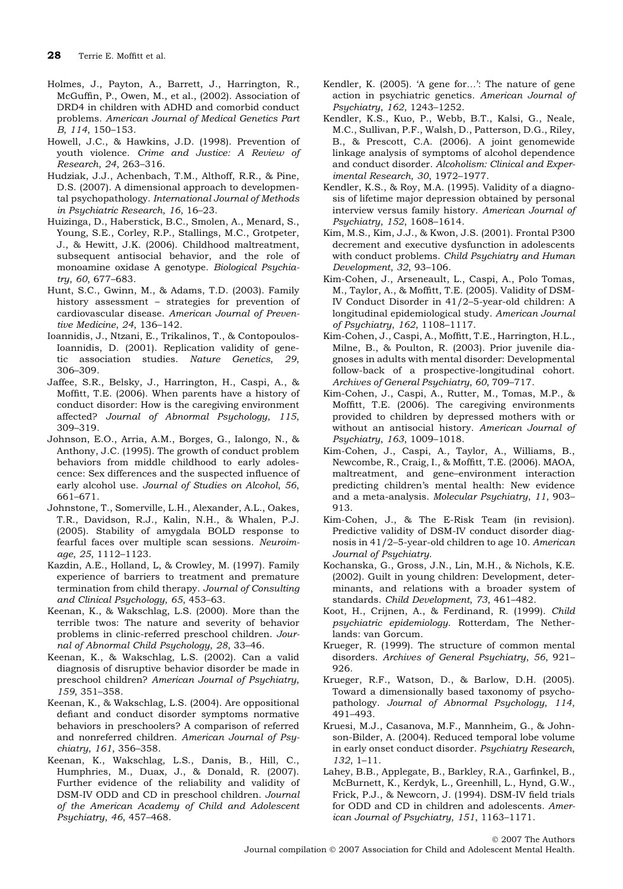- Holmes, J., Payton, A., Barrett, J., Harrington, R., McGuffin, P., Owen, M., et al., (2002). Association of DRD4 in children with ADHD and comorbid conduct problems. American Journal of Medical Genetics Part B, 114, 150–153.
- Howell, J.C., & Hawkins, J.D. (1998). Prevention of youth violence. Crime and Justice: A Review of Research, 24, 263–316.
- Hudziak, J.J., Achenbach, T.M., Althoff, R.R., & Pine, D.S. (2007). A dimensional approach to developmental psychopathology. International Journal of Methods in Psychiatric Research, 16, 16–23.
- Huizinga, D., Haberstick, B.C., Smolen, A., Menard, S., Young, S.E., Corley, R.P., Stallings, M.C., Grotpeter, J., & Hewitt, J.K. (2006). Childhood maltreatment, subsequent antisocial behavior, and the role of monoamine oxidase A genotype. Biological Psychiatry, 60, 677–683.
- Hunt, S.C., Gwinn, M., & Adams, T.D. (2003). Family history assessment – strategies for prevention of cardiovascular disease. American Journal of Preventive Medicine, 24, 136–142.
- Ioannidis, J., Ntzani, E., Trikalinos, T., & Contopoulos-Ioannidis, D. (2001). Replication validity of genetic association studies. Nature Genetics, 29, 306–309.
- Jaffee, S.R., Belsky, J., Harrington, H., Caspi, A., & Moffitt, T.E. (2006). When parents have a history of conduct disorder: How is the caregiving environment affected? Journal of Abnormal Psychology, 115, 309–319.
- Johnson, E.O., Arria, A.M., Borges, G., Ialongo, N., & Anthony, J.C. (1995). The growth of conduct problem behaviors from middle childhood to early adolescence: Sex differences and the suspected influence of early alcohol use. Journal of Studies on Alcohol, 56, 661–671.
- Johnstone, T., Somerville, L.H., Alexander, A.L., Oakes, T.R., Davidson, R.J., Kalin, N.H., & Whalen, P.J. (2005). Stability of amygdala BOLD response to fearful faces over multiple scan sessions. Neuroimage, 25, 1112–1123.
- Kazdin, A.E., Holland, L, & Crowley, M. (1997). Family experience of barriers to treatment and premature termination from child therapy. Journal of Consulting and Clinical Psychology, 65, 453–63.
- Keenan, K., & Wakschlag, L.S. (2000). More than the terrible twos: The nature and severity of behavior problems in clinic-referred preschool children. Journal of Abnormal Child Psychology, 28, 33–46.
- Keenan, K., & Wakschlag, L.S. (2002). Can a valid diagnosis of disruptive behavior disorder be made in preschool children? American Journal of Psychiatry, 159, 351–358.
- Keenan, K., & Wakschlag, L.S. (2004). Are oppositional defiant and conduct disorder symptoms normative behaviors in preschoolers? A comparison of referred and nonreferred children. American Journal of Psychiatry, 161, 356–358.
- Keenan, K., Wakschlag, L.S., Danis, B., Hill, C., Humphries, M., Duax, J., & Donald, R. (2007). Further evidence of the reliability and validity of DSM-IV ODD and CD in preschool children. Journal of the American Academy of Child and Adolescent Psychiatry, 46, 457–468.
- Kendler, K. (2005). 'A gene for…': The nature of gene action in psychiatric genetics. American Journal of Psychiatry, 162, 1243–1252.
- Kendler, K.S., Kuo, P., Webb, B.T., Kalsi, G., Neale, M.C., Sullivan, P.F., Walsh, D., Patterson, D.G., Riley, B., & Prescott, C.A. (2006). A joint genomewide linkage analysis of symptoms of alcohol dependence and conduct disorder. Alcoholism: Clinical and Experimental Research, 30, 1972–1977.
- Kendler, K.S., & Roy, M.A. (1995). Validity of a diagnosis of lifetime major depression obtained by personal interview versus family history. American Journal of Psychiatry, 152, 1608–1614.
- Kim, M.S., Kim, J.J., & Kwon, J.S. (2001). Frontal P300 decrement and executive dysfunction in adolescents with conduct problems. Child Psychiatry and Human Development, 32, 93–106.
- Kim-Cohen, J., Arseneault, L., Caspi, A., Polo Tomas, M., Taylor, A., & Moffitt, T.E. (2005). Validity of DSM-IV Conduct Disorder in 41/2–5-year-old children: A longitudinal epidemiological study. American Journal of Psychiatry, 162, 1108–1117.
- Kim-Cohen, J., Caspi, A., Moffitt, T.E., Harrington, H.L., Milne, B., & Poulton, R. (2003). Prior juvenile diagnoses in adults with mental disorder: Developmental follow-back of a prospective-longitudinal cohort. Archives of General Psychiatry, 60, 709–717.
- Kim-Cohen, J., Caspi, A., Rutter, M., Tomas, M.P., & Moffitt, T.E. (2006). The caregiving environments provided to children by depressed mothers with or without an antisocial history. American Journal of Psychiatry, 163, 1009–1018.
- Kim-Cohen, J., Caspi, A., Taylor, A., Williams, B., Newcombe, R., Craig, I., & Moffitt, T.E. (2006). MAOA, maltreatment, and gene–environment interaction predicting children's mental health: New evidence and a meta-analysis. Molecular Psychiatry, 11, 903– 913.
- Kim-Cohen, J., & The E-Risk Team (in revision). Predictive validity of DSM-IV conduct disorder diagnosis in 41/2–5-year-old children to age 10. American Journal of Psychiatry.
- Kochanska, G., Gross, J.N., Lin, M.H., & Nichols, K.E. (2002). Guilt in young children: Development, determinants, and relations with a broader system of standards. Child Development, 73, 461–482.
- Koot, H., Crijnen, A., & Ferdinand, R. (1999). Child psychiatric epidemiology. Rotterdam, The Netherlands: van Gorcum.
- Krueger, R. (1999). The structure of common mental disorders. Archives of General Psychiatry, 56, 921– 926.
- Krueger, R.F., Watson, D., & Barlow, D.H. (2005). Toward a dimensionally based taxonomy of psychopathology. Journal of Abnormal Psychology, 114, 491–493.
- Kruesi, M.J., Casanova, M.F., Mannheim, G., & Johnson-Bilder, A. (2004). Reduced temporal lobe volume in early onset conduct disorder. Psychiatry Research, 132, 1–11.
- Lahey, B.B., Applegate, B., Barkley, R.A., Garfinkel, B., McBurnett, K., Kerdyk, L., Greenhill, L., Hynd, G.W., Frick, P.J., & Newcorn, J. (1994). DSM-IV field trials for ODD and CD in children and adolescents. American Journal of Psychiatry, 151, 1163–1171.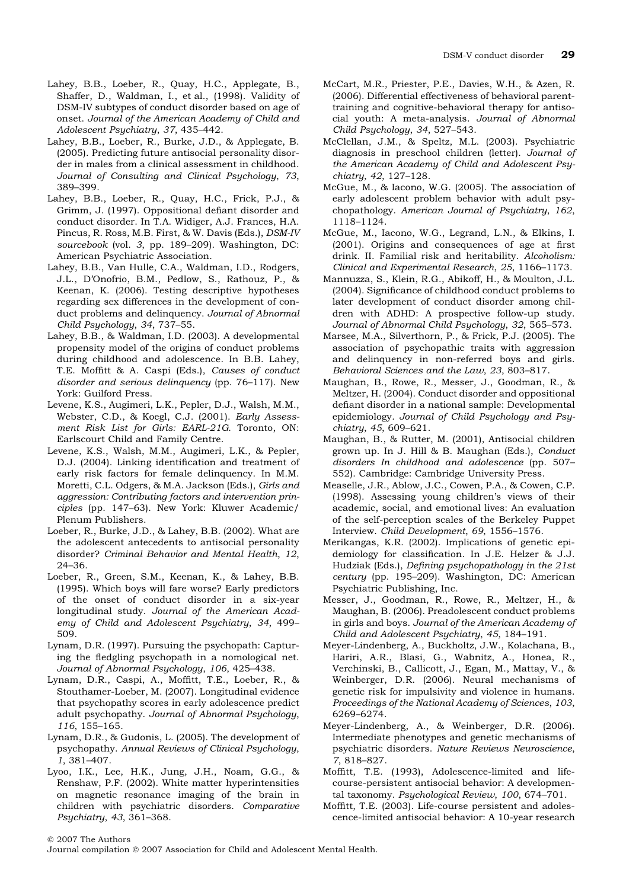- Lahey, B.B., Loeber, R., Quay, H.C., Applegate, B., Shaffer, D., Waldman, I., et al., (1998). Validity of DSM-IV subtypes of conduct disorder based on age of onset. Journal of the American Academy of Child and Adolescent Psychiatry, 37, 435–442.
- Lahey, B.B., Loeber, R., Burke, J.D., & Applegate, B. (2005). Predicting future antisocial personality disorder in males from a clinical assessment in childhood. Journal of Consulting and Clinical Psychology, 73, 389–399.
- Lahey, B.B., Loeber, R., Quay, H.C., Frick, P.J., & Grimm, J. (1997). Oppositional defiant disorder and conduct disorder. In T.A. Widiger, A.J. Frances, H.A. Pincus, R. Ross, M.B. First, & W. Davis (Eds.), DSM-IV sourcebook (vol. 3, pp. 189–209). Washington, DC: American Psychiatric Association.
- Lahey, B.B., Van Hulle, C.A., Waldman, I.D., Rodgers, J.L., D'Onofrio, B.M., Pedlow, S., Rathouz, P., & Keenan, K. (2006). Testing descriptive hypotheses regarding sex differences in the development of conduct problems and delinquency. Journal of Abnormal Child Psychology, 34, 737–55.
- Lahey, B.B., & Waldman, I.D. (2003). A developmental propensity model of the origins of conduct problems during childhood and adolescence. In B.B. Lahey, T.E. Moffitt & A. Caspi (Eds.), Causes of conduct disorder and serious delinquency (pp. 76–117). New York: Guilford Press.
- Levene, K.S., Augimeri, L.K., Pepler, D.J., Walsh, M.M., Webster, C.D., & Koegl, C.J. (2001). Early Assessment Risk List for Girls: EARL-21G. Toronto, ON: Earlscourt Child and Family Centre.
- Levene, K.S., Walsh, M.M., Augimeri, L.K., & Pepler, D.J. (2004). Linking identification and treatment of early risk factors for female delinquency. In M.M. Moretti, C.L. Odgers, & M.A. Jackson (Eds.), Girls and aggression: Contributing factors and intervention principles (pp. 147–63). New York: Kluwer Academic/ Plenum Publishers.
- Loeber, R., Burke, J.D., & Lahey, B.B. (2002). What are the adolescent antecedents to antisocial personality disorder? Criminal Behavior and Mental Health, 12, 24–36.
- Loeber, R., Green, S.M., Keenan, K., & Lahey, B.B. (1995). Which boys will fare worse? Early predictors of the onset of conduct disorder in a six-year longitudinal study. Journal of the American Academy of Child and Adolescent Psychiatry, 34, 499– 509.
- Lynam, D.R. (1997). Pursuing the psychopath: Capturing the fledgling psychopath in a nomological net. Journal of Abnormal Psychology, 106, 425–438.
- Lynam, D.R., Caspi, A., Moffitt, T.E., Loeber, R., & Stouthamer-Loeber, M. (2007). Longitudinal evidence that psychopathy scores in early adolescence predict adult psychopathy. Journal of Abnormal Psychology, 116, 155–165.
- Lynam, D.R., & Gudonis, L. (2005). The development of psychopathy. Annual Reviews of Clinical Psychology, 1, 381–407.
- Lyoo, I.K., Lee, H.K., Jung, J.H., Noam, G.G., & Renshaw, P.F. (2002). White matter hyperintensities on magnetic resonance imaging of the brain in children with psychiatric disorders. Comparative Psychiatry, 43, 361–368.
- McCart, M.R., Priester, P.E., Davies, W.H., & Azen, R. (2006). Differential effectiveness of behavioral parenttraining and cognitive-behavioral therapy for antisocial youth: A meta-analysis. Journal of Abnormal Child Psychology, 34, 527–543.
- McClellan, J.M., & Speltz, M.L. (2003). Psychiatric diagnosis in preschool children (letter). Journal of the American Academy of Child and Adolescent Psychiatry, 42, 127–128.
- McGue, M., & Iacono, W.G. (2005). The association of early adolescent problem behavior with adult psychopathology. American Journal of Psychiatry, 162, 1118–1124.
- McGue, M., Iacono, W.G., Legrand, L.N., & Elkins, I. (2001). Origins and consequences of age at first drink. II. Familial risk and heritability. Alcoholism: Clinical and Experimental Research, 25, 1166–1173.
- Mannuzza, S., Klein, R.G., Abikoff, H., & Moulton, J.L. (2004). Significance of childhood conduct problems to later development of conduct disorder among children with ADHD: A prospective follow-up study. Journal of Abnormal Child Psychology, 32, 565–573.
- Marsee, M.A., Silverthorn, P., & Frick, P.J. (2005). The association of psychopathic traits with aggression and delinquency in non-referred boys and girls. Behavioral Sciences and the Law, 23, 803–817.
- Maughan, B., Rowe, R., Messer, J., Goodman, R., & Meltzer, H. (2004). Conduct disorder and oppositional defiant disorder in a national sample: Developmental epidemiology. Journal of Child Psychology and Psychiatry, 45, 609–621.
- Maughan, B., & Rutter, M. (2001), Antisocial children grown up. In J. Hill & B. Maughan (Eds.), Conduct disorders In childhood and adolescence (pp. 507– 552). Cambridge: Cambridge University Press.
- Measelle, J.R., Ablow, J.C., Cowen, P.A., & Cowen, C.P. (1998). Assessing young children's views of their academic, social, and emotional lives: An evaluation of the self-perception scales of the Berkeley Puppet Interview. Child Development, 69, 1556–1576.
- Merikangas, K.R. (2002). Implications of genetic epidemiology for classification. In J.E. Helzer & J.J. Hudziak (Eds.), Defining psychopathology in the 21st century (pp. 195–209). Washington, DC: American Psychiatric Publishing, Inc.
- Messer, J., Goodman, R., Rowe, R., Meltzer, H., & Maughan, B. (2006). Preadolescent conduct problems in girls and boys. Journal of the American Academy of Child and Adolescent Psychiatry, 45, 184–191.
- Meyer-Lindenberg, A., Buckholtz, J.W., Kolachana, B., Hariri, A.R., Blasi, G., Wabnitz, A., Honea, R., Verchinski, B., Callicott, J., Egan, M., Mattay, V., & Weinberger, D.R. (2006). Neural mechanisms of genetic risk for impulsivity and violence in humans. Proceedings of the National Academy of Sciences, 103, 6269–6274.
- Meyer-Lindenberg, A., & Weinberger, D.R. (2006). Intermediate phenotypes and genetic mechanisms of psychiatric disorders. Nature Reviews Neuroscience, 7, 818–827.
- Moffitt, T.E. (1993), Adolescence-limited and lifecourse-persistent antisocial behavior: A developmental taxonomy. Psychological Review, 100, 674–701.
- Moffitt, T.E. (2003). Life-course persistent and adolescence-limited antisocial behavior: A 10-year research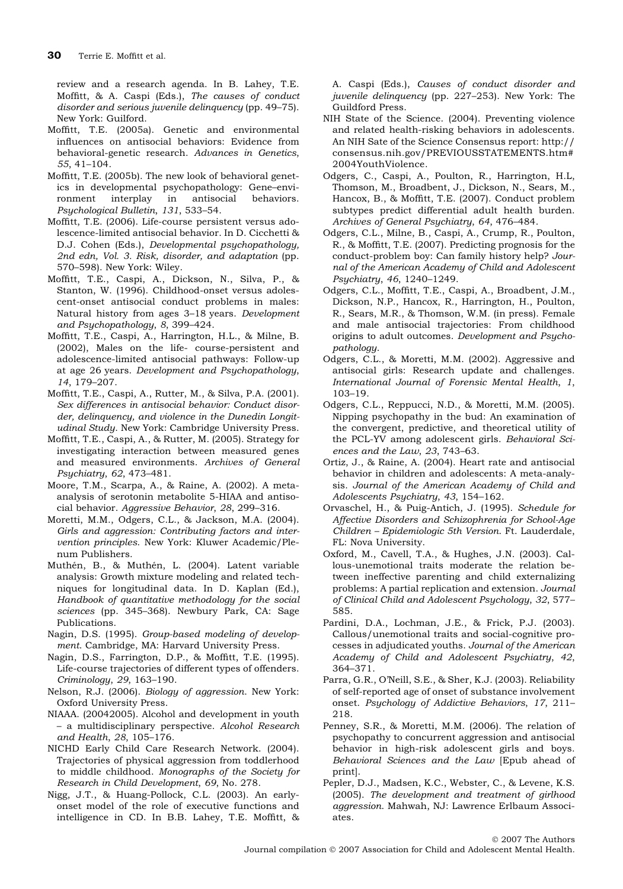review and a research agenda. In B. Lahey, T.E. Moffitt, & A. Caspi (Eds.), The causes of conduct disorder and serious juvenile delinquency (pp. 49–75). New York: Guilford.

- Moffitt, T.E. (2005a). Genetic and environmental influences on antisocial behaviors: Evidence from behavioral-genetic research. Advances in Genetics, 55, 41–104.
- Moffitt, T.E. (2005b). The new look of behavioral genetics in developmental psychopathology: Gene–environment interplay in antisocial behaviors. Psychological Bulletin, 131, 533–54.
- Moffitt, T.E. (2006). Life-course persistent versus adolescence-limited antisocial behavior. In D. Cicchetti & D.J. Cohen (Eds.), Developmental psychopathology, 2nd edn, Vol. 3. Risk, disorder, and adaptation (pp. 570–598). New York: Wiley.
- Moffitt, T.E., Caspi, A., Dickson, N., Silva, P., & Stanton, W. (1996). Childhood-onset versus adolescent-onset antisocial conduct problems in males: Natural history from ages 3–18 years. Development and Psychopathology, 8, 399–424.
- Moffitt, T.E., Caspi, A., Harrington, H.L., & Milne, B. (2002), Males on the life- course-persistent and adolescence-limited antisocial pathways: Follow-up at age 26 years. Development and Psychopathology, 14, 179–207.
- Moffitt, T.E., Caspi, A., Rutter, M., & Silva, P.A. (2001). Sex differences in antisocial behavior: Conduct disorder, delinquency, and violence in the Dunedin Longitudinal Study. New York: Cambridge University Press.
- Moffitt, T.E., Caspi, A., & Rutter, M. (2005). Strategy for investigating interaction between measured genes and measured environments. Archives of General Psychiatry, 62, 473–481.
- Moore, T.M., Scarpa, A., & Raine, A. (2002). A metaanalysis of serotonin metabolite 5-HIAA and antisocial behavior. Aggressive Behavior, 28, 299–316.
- Moretti, M.M., Odgers, C.L., & Jackson, M.A. (2004). Girls and aggression: Contributing factors and intervention principles. New York: Kluwer Academic/Plenum Publishers.
- Muthén, B., & Muthén, L. (2004). Latent variable analysis: Growth mixture modeling and related techniques for longitudinal data. In D. Kaplan (Ed.), Handbook of quantitative methodology for the social sciences (pp. 345–368). Newbury Park, CA: Sage Publications.
- Nagin, D.S. (1995). Group-based modeling of development. Cambridge, MA: Harvard University Press.
- Nagin, D.S., Farrington, D.P., & Moffitt, T.E. (1995). Life-course trajectories of different types of offenders. Criminology, 29, 163–190.
- Nelson, R.J. (2006). Biology of aggression. New York: Oxford University Press.
- NIAAA. (20042005). Alcohol and development in youth – a multidisciplinary perspective. Alcohol Research and Health, 28, 105–176.
- NICHD Early Child Care Research Network. (2004). Trajectories of physical aggression from toddlerhood to middle childhood. Monographs of the Society for Research in Child Development, 69, No. 278.
- Nigg, J.T., & Huang-Pollock, C.L. (2003). An earlyonset model of the role of executive functions and intelligence in CD. In B.B. Lahey, T.E. Moffitt, &

A. Caspi (Eds.), Causes of conduct disorder and juvenile delinquency (pp. 227–253). New York: The Guildford Press.

- NIH State of the Science. (2004). Preventing violence and related health-risking behaviors in adolescents. An NIH Sate of the Science Consensus report: http:// consensus.nih.gov/PREVIOUSSTATEMENTS.htm# 2004YouthViolence.
- Odgers, C., Caspi, A., Poulton, R., Harrington, H.L, Thomson, M., Broadbent, J., Dickson, N., Sears, M., Hancox, B., & Moffitt, T.E. (2007). Conduct problem subtypes predict differential adult health burden. Archives of General Psychiatry, 64, 476–484.
- Odgers, C.L., Milne, B., Caspi, A., Crump, R., Poulton, R., & Moffitt, T.E. (2007). Predicting prognosis for the conduct-problem boy: Can family history help? Journal of the American Academy of Child and Adolescent Psychiatry, 46, 1240–1249.
- Odgers, C.L., Moffitt, T.E., Caspi, A., Broadbent, J.M., Dickson, N.P., Hancox, R., Harrington, H., Poulton, R., Sears, M.R., & Thomson, W.M. (in press). Female and male antisocial trajectories: From childhood origins to adult outcomes. Development and Psychopathology.
- Odgers, C.L., & Moretti, M.M. (2002). Aggressive and antisocial girls: Research update and challenges. International Journal of Forensic Mental Health, 1, 103–19.
- Odgers, C.L., Reppucci, N.D., & Moretti, M.M. (2005). Nipping psychopathy in the bud: An examination of the convergent, predictive, and theoretical utility of the PCL-YV among adolescent girls. Behavioral Sciences and the Law, 23, 743–63.
- Ortiz, J., & Raine, A. (2004). Heart rate and antisocial behavior in children and adolescents: A meta-analysis. Journal of the American Academy of Child and Adolescents Psychiatry, 43, 154–162.
- Orvaschel, H., & Puig-Antich, J. (1995). Schedule for Affective Disorders and Schizophrenia for School-Age Children – Epidemiologic 5th Version. Ft. Lauderdale, FL: Nova University.
- Oxford, M., Cavell, T.A., & Hughes, J.N. (2003). Callous-unemotional traits moderate the relation between ineffective parenting and child externalizing problems: A partial replication and extension. Journal of Clinical Child and Adolescent Psychology, 32, 577– 585.
- Pardini, D.A., Lochman, J.E., & Frick, P.J. (2003). Callous/unemotional traits and social-cognitive processes in adjudicated youths. Journal of the American Academy of Child and Adolescent Psychiatry, 42, 364–371.
- Parra, G.R., O'Neill, S.E., & Sher, K.J. (2003). Reliability of self-reported age of onset of substance involvement onset. Psychology of Addictive Behaviors, 17, 211– 218.
- Penney, S.R., & Moretti, M.M. (2006). The relation of psychopathy to concurrent aggression and antisocial behavior in high-risk adolescent girls and boys. Behavioral Sciences and the Law [Epub ahead of print].
- Pepler, D.J., Madsen, K.C., Webster, C., & Levene, K.S. (2005). The development and treatment of girlhood aggression. Mahwah, NJ: Lawrence Erlbaum Associates.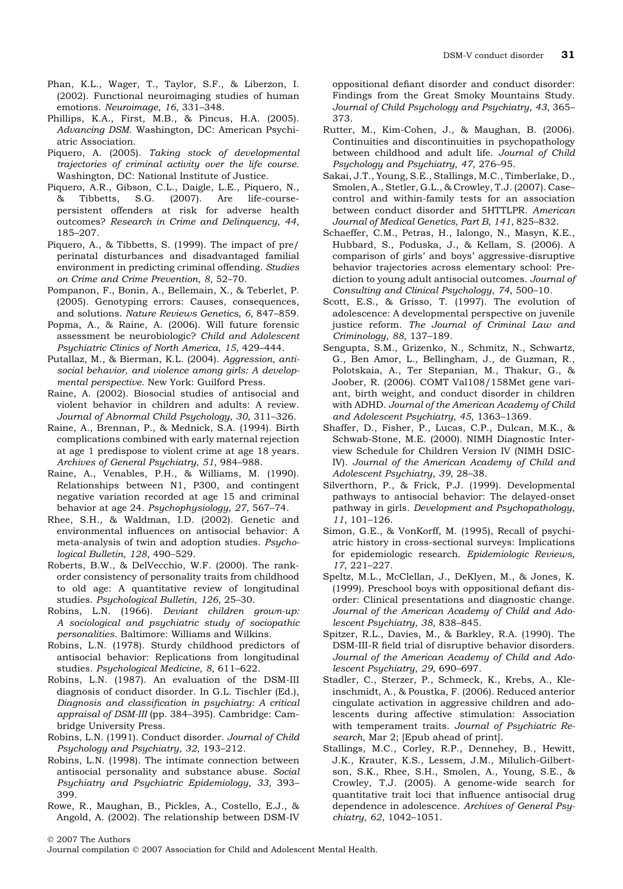- Phan, K.L., Wager, T., Taylor, S.F., & Liberzon, I. (2002). Functional neuroimaging studies of human emotions. Neuroimage, 16, 331–348.
- Phillips, K.A., First, M.B., & Pincus, H.A. (2005). Advancing DSM. Washington, DC: American Psychiatric Association.
- Piquero, A. (2005). Taking stock of developmental trajectories of criminal activity over the life course. Washington, DC: National Institute of Justice.
- Piquero, A.R., Gibson, C.L., Daigle, L.E., Piquero, N., & Tibbetts, S.G. (2007). Are life-coursepersistent offenders at risk for adverse health outcomes? Research in Crime and Delinquency, 44, 185–207.
- Piquero, A., & Tibbetts, S. (1999). The impact of pre/ perinatal disturbances and disadvantaged familial environment in predicting criminal offending. Studies on Crime and Crime Prevention, 8, 52–70.
- Pompanon, F., Bonin, A., Bellemain, X., & Teberlet, P. (2005). Genotyping errors: Causes, consequences, and solutions. Nature Reviews Genetics, 6, 847–859.
- Popma, A., & Raine, A. (2006). Will future forensic assessment be neurobiologic? Child and Adolescent Psychiatric Clinics of North America, 15, 429–444.
- Putallaz, M., & Bierman, K.L. (2004). Aggression, antisocial behavior, and violence among girls: A developmental perspective. New York: Guilford Press.
- Raine, A. (2002). Biosocial studies of antisocial and violent behavior in children and adults: A review. Journal of Abnormal Child Psychology, 30, 311–326.
- Raine, A., Brennan, P., & Mednick, S.A. (1994). Birth complications combined with early maternal rejection at age 1 predispose to violent crime at age 18 years. Archives of General Psychiatry, 51, 984–988.
- Raine, A., Venables, P.H., & Williams, M. (1990). Relationships between N1, P300, and contingent negative variation recorded at age 15 and criminal behavior at age 24. Psychophysiology, 27, 567–74.
- Rhee, S.H., & Waldman, I.D. (2002). Genetic and environmental influences on antisocial behavior: A meta-analysis of twin and adoption studies. Psychological Bulletin, 128, 490–529.
- Roberts, B.W., & DelVecchio, W.F. (2000). The rankorder consistency of personality traits from childhood to old age: A quantitative review of longitudinal studies. Psychological Bulletin, 126, 25–30.
- Robins, L.N. (1966). Deviant children grown-up: A sociological and psychiatric study of sociopathic personalities. Baltimore: Williams and Wilkins.
- Robins, L.N. (1978). Sturdy childhood predictors of antisocial behavior: Replications from longitudinal studies. Psychological Medicine, 8, 611–622.
- Robins, L.N. (1987). An evaluation of the DSM-III diagnosis of conduct disorder. In G.L. Tischler (Ed.), Diagnosis and classification in psychiatry: A critical appraisal of DSM-III (pp. 384–395). Cambridge: Cambridge University Press.
- Robins, L.N. (1991). Conduct disorder. Journal of Child Psychology and Psychiatry, 32, 193–212.
- Robins, L.N. (1998). The intimate connection between antisocial personality and substance abuse. Social Psychiatry and Psychiatric Epidemiology, 33, 393– 399.
- Rowe, R., Maughan, B., Pickles, A., Costello, E.J., & Angold, A. (2002). The relationship between DSM-IV

oppositional defiant disorder and conduct disorder: Findings from the Great Smoky Mountains Study. Journal of Child Psychology and Psychiatry, 43, 365– 373.

- Rutter, M., Kim-Cohen, J., & Maughan, B. (2006). Continuities and discontinuities in psychopathology between childhood and adult life. Journal of Child Psychology and Psychiatry, 47, 276–95.
- Sakai, J.T., Young, S.E., Stallings, M.C., Timberlake, D., Smolen, A., Stetler, G.L., & Crowley, T.J. (2007). Case– control and within-family tests for an association between conduct disorder and 5HTTLPR. American Journal of Medical Genetics, Part B, 141, 825–832.
- Schaeffer, C.M., Petras, H., Ialongo, N., Masyn, K.E., Hubbard, S., Poduska, J., & Kellam, S. (2006). A comparison of girls' and boys' aggressive-disruptive behavior trajectories across elementary school: Prediction to young adult antisocial outcomes. Journal of Consulting and Clinical Psychology, 74, 500–10.
- Scott, E.S., & Grisso, T. (1997). The evolution of adolescence: A developmental perspective on juvenile justice reform. The Journal of Criminal Law and Criminology, 88, 137–189.
- Sengupta, S.M., Grizenko, N., Schmitz, N., Schwartz, G., Ben Amor, L., Bellingham, J., de Guzman, R., Polotskaia, A., Ter Stepanian, M., Thakur, G., & Joober, R. (2006). COMT Val108/158Met gene variant, birth weight, and conduct disorder in children with ADHD. Journal of the American Academy of Child and Adolescent Psychiatry, 45, 1363–1369.
- Shaffer, D., Fisher, P., Lucas, C.P., Dulcan, M.K., & Schwab-Stone, M.E. (2000). NIMH Diagnostic Interview Schedule for Children Version IV (NIMH DSIC-IV). Journal of the American Academy of Child and Adolescent Psychiatry, 39, 28–38.
- Silverthorn, P., & Frick, P.J. (1999). Developmental pathways to antisocial behavior: The delayed-onset pathway in girls. Development and Psychopathology, 11, 101–126.
- Simon, G.E., & VonKorff, M. (1995), Recall of psychiatric history in cross-sectional surveys: Implications for epidemiologic research. Epidemiologic Reviews, 17, 221–227.
- Speltz, M.L., McClellan, J., DeKlyen, M., & Jones, K. (1999). Preschool boys with oppositional defiant disorder: Clinical presentations and diagnostic change. Journal of the American Academy of Child and Adolescent Psychiatry, 38, 838–845.
- Spitzer, R.L., Davies, M., & Barkley, R.A. (1990). The DSM-III-R field trial of disruptive behavior disorders. Journal of the American Academy of Child and Adolescent Psychiatry, 29, 690–697.
- Stadler, C., Sterzer, P., Schmeck, K., Krebs, A., Kleinschmidt, A., & Poustka, F. (2006). Reduced anterior cingulate activation in aggressive children and adolescents during affective stimulation: Association with temperament traits. Journal of Psychiatric Research, Mar 2; [Epub ahead of print].
- Stallings, M.C., Corley, R.P., Dennehey, B., Hewitt, J.K., Krauter, K.S., Lessem, J.M., Milulich-Gilbertson, S.K., Rhee, S.H., Smolen, A., Young, S.E., & Crowley, T.J. (2005). A genome-wide search for quantitative trait loci that influence antisocial drug dependence in adolescence. Archives of General Psychiatry, 62, 1042–1051.

Journal compilation © 2007 Association for Child and Adolescent Mental Health.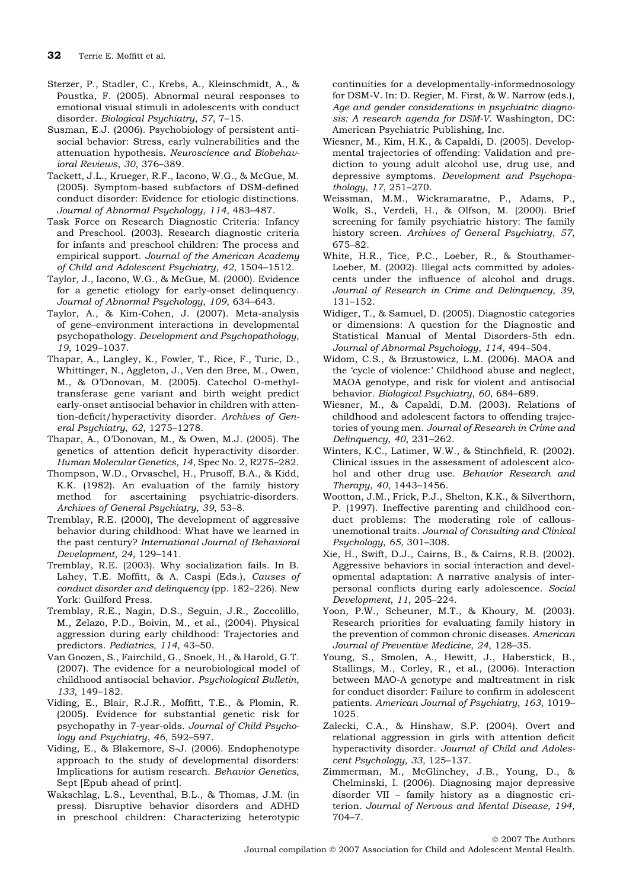- Sterzer, P., Stadler, C., Krebs, A., Kleinschmidt, A., & Poustka, F. (2005). Abnormal neural responses to emotional visual stimuli in adolescents with conduct disorder. Biological Psychiatry, 57, 7–15.
- Susman, E.J. (2006). Psychobiology of persistent antisocial behavior: Stress, early vulnerabilities and the attenuation hypothesis. Neuroscience and Biobehavioral Reviews, 30, 376–389.
- Tackett, J.L., Krueger, R.F., Iacono, W.G., & McGue, M. (2005). Symptom-based subfactors of DSM-defined conduct disorder: Evidence for etiologic distinctions. Journal of Abnormal Psychology, 114, 483–487.
- Task Force on Research Diagnostic Criteria: Infancy and Preschool. (2003). Research diagnostic criteria for infants and preschool children: The process and empirical support. Journal of the American Academy of Child and Adolescent Psychiatry, 42, 1504–1512.
- Taylor, J., Iacono, W.G., & McGue, M. (2000). Evidence for a genetic etiology for early-onset delinquency. Journal of Abnormal Psychology, 109, 634–643.
- Taylor, A., & Kim-Cohen, J. (2007). Meta-analysis of gene–environment interactions in developmental psychopathology. Development and Psychopathology, 19, 1029–1037.
- Thapar, A., Langley, K., Fowler, T., Rice, F., Turic, D., Whittinger, N., Aggleton, J., Ven den Bree, M., Owen, M., & O'Donovan, M. (2005). Catechol O-methyltransferase gene variant and birth weight predict early-onset antisocial behavior in children with attention-deficit/hyperactivity disorder. Archives of General Psychiatry, 62, 1275–1278.
- Thapar, A., O'Donovan, M., & Owen, M.J. (2005). The genetics of attention deficit hyperactivity disorder. Human Molecular Genetics, 14, Spec No. 2, R275–282.
- Thompson, W.D., Orvaschel, H., Prusoff, B.A., & Kidd, K.K. (1982). An evaluation of the family history method for ascertaining psychiatric-disorders. Archives of General Psychiatry, 39, 53–8.
- Tremblay, R.E. (2000), The development of aggressive behavior during childhood: What have we learned in the past century? International Journal of Behavioral Development, 24, 129–141.
- Tremblay, R.E. (2003). Why socialization fails. In B. Lahey, T.E. Moffitt, & A. Caspi (Eds.), Causes of conduct disorder and delinquency (pp. 182–226). New York: Guilford Press.
- Tremblay, R.E., Nagin, D.S., Seguin, J.R., Zoccolillo, M., Zelazo, P.D., Boivin, M., et al., (2004). Physical aggression during early childhood: Trajectories and predictors. Pediatrics, 114, 43–50.
- Van Goozen, S., Fairchild, G., Snoek, H., & Harold, G.T. (2007). The evidence for a neurobiological model of childhood antisocial behavior. Psychological Bulletin, 133, 149–182.
- Viding, E., Blair, R.J.R., Moffitt, T.E., & Plomin, R. (2005). Evidence for substantial genetic risk for psychopathy in 7-year-olds. Journal of Child Psychology and Psychiatry, 46, 592-597.
- Viding, E., & Blakemore, S-J. (2006). Endophenotype approach to the study of developmental disorders: Implications for autism research. Behavior Genetics, Sept [Epub ahead of print].
- Wakschlag, L.S., Leventhal, B.L., & Thomas, J.M. (in press). Disruptive behavior disorders and ADHD in preschool children: Characterizing heterotypic

continuities for a developmentally-informednosology for DSM-V. In: D. Regier, M. First, & W. Narrow (eds.), Age and gender considerations in psychiatric diagnosis: A research agenda for DSM-V. Washington, DC: American Psychiatric Publishing, Inc.

- Wiesner, M., Kim, H.K., & Capaldi, D. (2005). Developmental trajectories of offending: Validation and prediction to young adult alcohol use, drug use, and depressive symptoms. Development and Psychopathology, 17, 251–270.
- Weissman, M.M., Wickramaratne, P., Adams, P., Wolk, S., Verdeli, H., & Olfson, M. (2000). Brief screening for family psychiatric history: The family history screen. Archives of General Psychiatry, 57, 675–82.
- White, H.R., Tice, P.C., Loeber, R., & Stouthamer-Loeber, M. (2002). Illegal acts committed by adolescents under the influence of alcohol and drugs. Journal of Research in Crime and Delinquency, 39, 131–152.
- Widiger, T., & Samuel, D. (2005). Diagnostic categories or dimensions: A question for the Diagnostic and Statistical Manual of Mental Disorders-5th edn. Journal of Abnormal Psychology, 114, 494–504.
- Widom, C.S., & Brzustowicz, L.M. (2006). MAOA and the 'cycle of violence:' Childhood abuse and neglect, MAOA genotype, and risk for violent and antisocial behavior. Biological Psychiatry, 60, 684–689.
- Wiesner, M., & Capaldi, D.M. (2003). Relations of childhood and adolescent factors to offending trajectories of young men. Journal of Research in Crime and Delinquency, 40, 231–262.
- Winters, K.C., Latimer, W.W., & Stinchfield, R. (2002). Clinical issues in the assessment of adolescent alcohol and other drug use. Behavior Research and Therapy, 40, 1443–1456.
- Wootton, J.M., Frick, P.J., Shelton, K.K., & Silverthorn, P. (1997). Ineffective parenting and childhood conduct problems: The moderating role of callousunemotional traits. Journal of Consulting and Clinical Psychology, 65, 301–308.
- Xie, H., Swift, D.J., Cairns, B., & Cairns, R.B. (2002). Aggressive behaviors in social interaction and developmental adaptation: A narrative analysis of interpersonal conflicts during early adolescence. Social Development, 11, 205–224.
- Yoon, P.W., Scheuner, M.T., & Khoury, M. (2003). Research priorities for evaluating family history in the prevention of common chronic diseases. American Journal of Preventive Medicine, 24, 128–35.
- Young, S., Smolen, A., Hewitt, J., Haberstick, B., Stallings, M., Corley, R., et al., (2006). Interaction between MAO-A genotype and maltreatment in risk for conduct disorder: Failure to confirm in adolescent patients. American Journal of Psychiatry, 163, 1019– 1025.
- Zalecki, C.A., & Hinshaw, S.P. (2004). Overt and relational aggression in girls with attention deficit hyperactivity disorder. Journal of Child and Adolescent Psychology, 33, 125–137.
- Zimmerman, M., McGlinchey, J.B., Young, D., & Chelminski, I. (2006). Diagnosing major depressive disorder VII – family history as a diagnostic criterion. Journal of Nervous and Mental Disease, 194, 704–7.